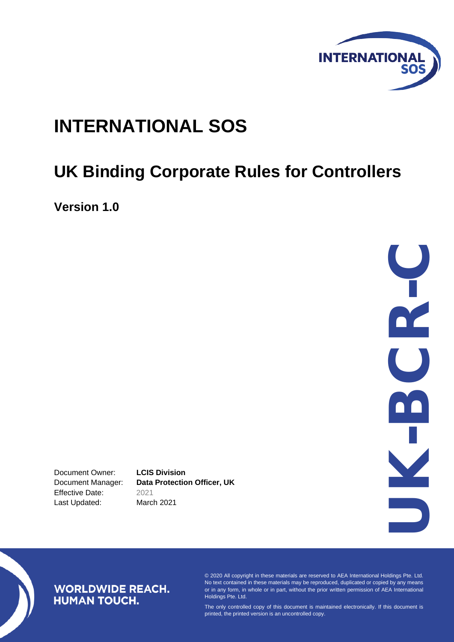

# **INTERNATIONAL SOS**

# **UK Binding Corporate Rules for Controllers**

**Version 1.0**

UK C<br>C<br>C<br>C - C

Document Owner: **LCIS Division** Effective Date: 2021 Last Updated: March 2021

Document Manager: **Data Protection Officer, UK**

# **WORLDWIDE REACH. HUMAN TOUCH.**

© 2020 All copyright in these materials are reserved to AEA International Holdings Pte. Ltd. No text contained in these materials may be reproduced, duplicated or copied by any means or in any form, in whole or in part, without the prior written permission of AEA International Holdings Pte. Ltd.

The only controlled copy of this document is maintained electronically. If this document is printed, the printed version is an uncontrolled copy.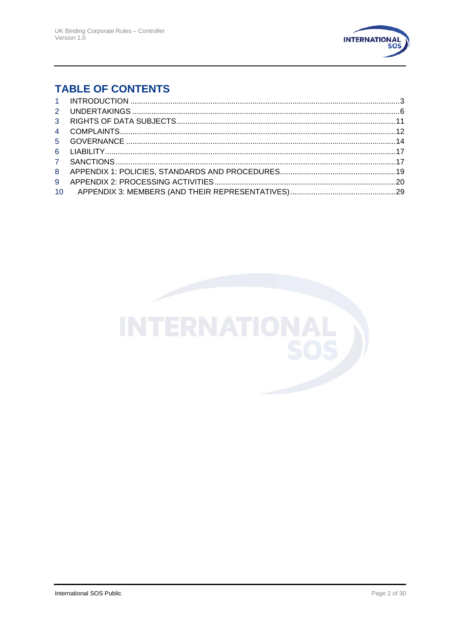

# **TABLE OF CONTENTS**

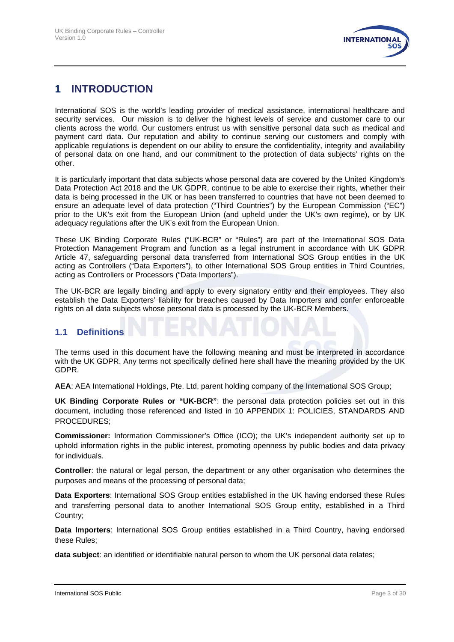

# **1 INTRODUCTION**

International SOS is the world's leading provider of medical assistance, international healthcare and security services. Our mission is to deliver the highest levels of service and customer care to our clients across the world. Our customers entrust us with sensitive personal data such as medical and payment card data. Our reputation and ability to continue serving our customers and comply with applicable regulations is dependent on our ability to ensure the confidentiality, integrity and availability of personal data on one hand, and our commitment to the protection of data subjects' rights on the other.

It is particularly important that data subjects whose personal data are covered by the United Kingdom's Data Protection Act 2018 and the UK GDPR, continue to be able to exercise their rights, whether their data is being processed in the UK or has been transferred to countries that have not been deemed to ensure an adequate level of data protection ("Third Countries") by the European Commission ("EC") prior to the UK's exit from the European Union (and upheld under the UK's own regime), or by UK adequacy regulations after the UK's exit from the European Union.

These UK Binding Corporate Rules ("UK-BCR" or "Rules") are part of the International SOS Data Protection Management Program and function as a legal instrument in accordance with UK GDPR Article 47, safeguarding personal data transferred from International SOS Group entities in the UK acting as Controllers ("Data Exporters"), to other International SOS Group entities in Third Countries, acting as Controllers or Processors ("Data Importers").

The UK-BCR are legally binding and apply to every signatory entity and their employees. They also establish the Data Exporters' liability for breaches caused by Data Importers and confer enforceable rights on all data subjects whose personal data is processed by the UK-BCR Members.

#### **1.1 Definitions**

The terms used in this document have the following meaning and must be interpreted in accordance with the UK GDPR. Any terms not specifically defined here shall have the meaning provided by the UK GDPR.

**AEA**: AEA International Holdings, Pte. Ltd, parent holding company of the International SOS Group;

**UK Binding Corporate Rules or "UK-BCR"**: the personal data protection policies set out in this document, including those referenced and listed in 10 APPENDIX 1: POLICIES, STANDARDS AND PROCEDURES;

**Commissioner:** Information Commissioner's Office (ICO); the UK's independent authority set up to uphold information rights in the public interest, promoting openness by public bodies and data privacy for individuals.

**Controller**: the natural or legal person, the department or any other organisation who determines the purposes and means of the processing of personal data;

**Data Exporters**: International SOS Group entities established in the UK having endorsed these Rules and transferring personal data to another International SOS Group entity, established in a Third Country;

**Data Importers**: International SOS Group entities established in a Third Country, having endorsed these Rules;

**data subject**: an identified or identifiable natural person to whom the UK personal data relates;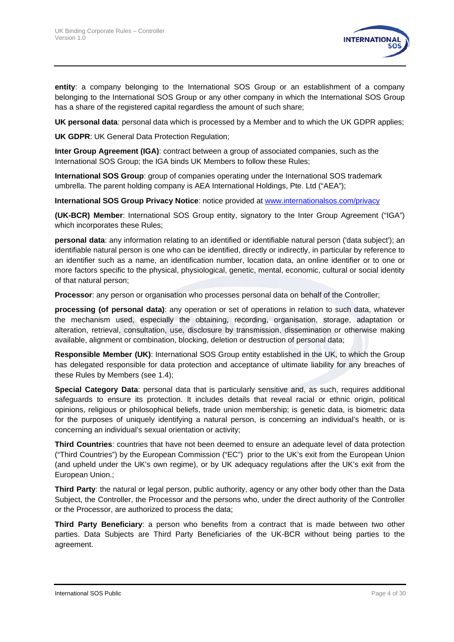

**entity**: a company belonging to the International SOS Group or an establishment of a company belonging to the International SOS Group or any other company in which the International SOS Group has a share of the registered capital regardless the amount of such share;

**UK personal data**: personal data which is processed by a Member and to which the UK GDPR applies;

**UK GDPR**: UK General Data Protection Regulation;

**Inter Group Agreement (IGA)**: contract between a group of associated companies, such as the International SOS Group; the IGA binds UK Members to follow these Rules;

**International SOS Group**: group of companies operating under the International SOS trademark umbrella. The parent holding company is AEA International Holdings, Pte. Ltd ("AEA");

**International SOS Group Privacy Notice**: notice provided at [www.internationalsos.com/privacy](http://www.internationalsos.com/privacy)

**(UK-BCR) Member**: International SOS Group entity, signatory to the Inter Group Agreement ("IGA") which incorporates these Rules;

**personal data**: any information relating to an identified or identifiable natural person ('data subject'); an identifiable natural person is one who can be identified, directly or indirectly, in particular by reference to an identifier such as a name, an identification number, location data, an online identifier or to one or more factors specific to the physical, physiological, genetic, mental, economic, cultural or social identity of that natural person;

**Processor**: any person or organisation who processes personal data on behalf of the Controller;

**processing (of personal data)**: any operation or set of operations in relation to such data, whatever the mechanism used, especially the obtaining, recording, organisation, storage, adaptation or alteration, retrieval, consultation, use, disclosure by transmission, dissemination or otherwise making available, alignment or combination, blocking, deletion or destruction of personal data;

**Responsible Member (UK)**: International SOS Group entity established in the UK, to which the Group has delegated responsible for data protection and acceptance of ultimate liability for any breaches of these Rules by Members (see [1.4\)](#page-4-0);

**Special Category Data**: personal data that is particularly sensitive and, as such, requires additional safeguards to ensure its protection. It includes details that reveal racial or ethnic origin, political opinions, religious or philosophical beliefs, trade union membership; is genetic data, is biometric data for the purposes of uniquely identifying a natural person, is concerning an individual's health, or is concerning an individual's sexual orientation or activity;

**Third Countries**: countries that have not been deemed to ensure an adequate level of data protection ("Third Countries") by the European Commission ("EC") prior to the UK's exit from the European Union (and upheld under the UK's own regime), or by UK adequacy regulations after the UK's exit from the European Union.;

**Third Party**: the natural or legal person, public authority, agency or any other body other than the Data Subject, the Controller, the Processor and the persons who, under the direct authority of the Controller or the Processor, are authorized to process the data;

**Third Party Beneficiary**: a person who benefits from a contract that is made between two other parties. Data Subjects are Third Party Beneficiaries of the UK-BCR without being parties to the agreement.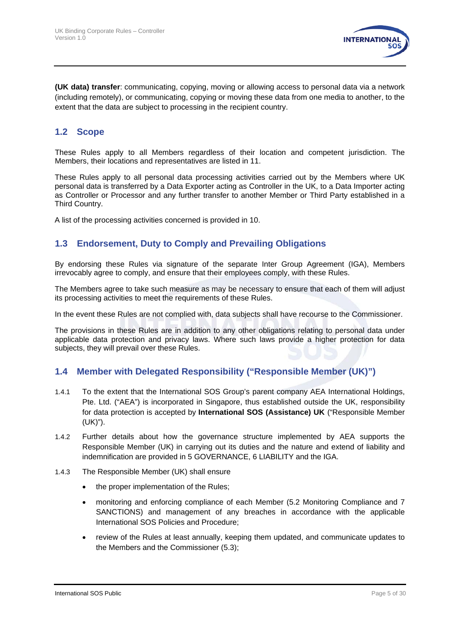

**(UK data) transfer**: communicating, copying, moving or allowing access to personal data via a network (including remotely), or communicating, copying or moving these data from one media to another, to the extent that the data are subject to processing in the recipient country.

#### **1.2 Scope**

These Rules apply to all Members regardless of their location and competent jurisdiction. The Members, their locations and representatives are listed in [11.](#page-28-0)

These Rules apply to all personal data processing activities carried out by the Members where UK personal data is transferred by a Data Exporter acting as Controller in the UK, to a Data Importer acting as Controller or Processor and any further transfer to another Member or Third Party established in a Third Country.

A list of the processing activities concerned is provided in [10.](#page-19-0)

#### **1.3 Endorsement, Duty to Comply and Prevailing Obligations**

By endorsing these Rules via signature of the separate Inter Group Agreement (IGA), Members irrevocably agree to comply, and ensure that their employees comply, with these Rules.

The Members agree to take such measure as may be necessary to ensure that each of them will adjust its processing activities to meet the requirements of these Rules.

In the event these Rules are not complied with, data subjects shall have recourse to the Commissioner.

The provisions in these Rules are in addition to any other obligations relating to personal data under applicable data protection and privacy laws. Where such laws provide a higher protection for data subjects, they will prevail over these Rules.

#### <span id="page-4-0"></span>**1.4 Member with Delegated Responsibility ("Responsible Member (UK)")**

- 1.4.1 To the extent that the International SOS Group's parent company AEA International Holdings, Pte. Ltd. ("AEA") is incorporated in Singapore, thus established outside the UK, responsibility for data protection is accepted by **International SOS (Assistance) UK** ("Responsible Member (UK)").
- 1.4.2 Further details about how the governance structure implemented by AEA supports the Responsible Member (UK) in carrying out its duties and the nature and extend of liability and indemnification are provided in 5 GOVERNANCE, [6](#page-16-0) [LIABILITY](#page-16-0) and the IGA.
- 1.4.3 The Responsible Member (UK) shall ensure
	- the proper implementation of the Rules;
	- monitoring and enforcing compliance of each Member [\(5.2](#page-14-0) [Monitoring Compliance](#page-14-0) and [7](#page-16-1) [SANCTIONS\)](#page-16-1) and management of any breaches in accordance with the applicable International SOS Policies and Procedure;
	- review of the Rules at least annually, keeping them updated, and communicate updates to the Members and the Commissioner [\(5.3\)](#page-15-0);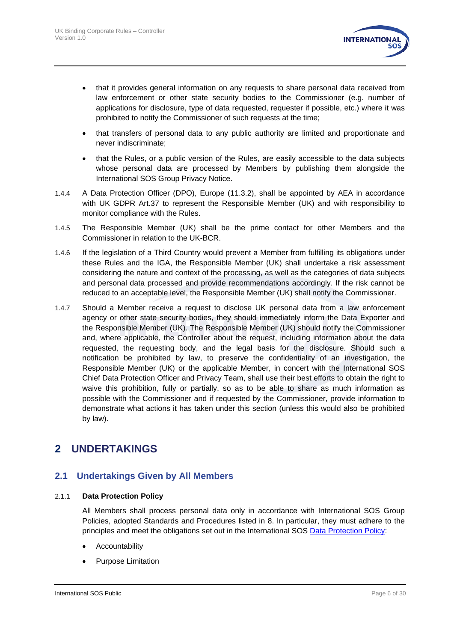

- that it provides general information on any requests to share personal data received from law enforcement or other state security bodies to the Commissioner (e.g. number of applications for disclosure, type of data requested, requester if possible, etc.) where it was prohibited to notify the Commissioner of such requests at the time;
- that transfers of personal data to any public authority are limited and proportionate and never indiscriminate;
- that the Rules, or a public version of the Rules, are easily accessible to the data subjects whose personal data are processed by Members by publishing them alongside the International SOS Group Privacy Notice.
- 1.4.4 A Data Protection Officer (DPO), Europe [\(11.3.2\)](#page-28-1), shall be appointed by AEA in accordance with UK GDPR Art.37 to represent the Responsible Member (UK) and with responsibility to monitor compliance with the Rules.
- 1.4.5 The Responsible Member (UK) shall be the prime contact for other Members and the Commissioner in relation to the UK-BCR.
- 1.4.6 If the legislation of a Third Country would prevent a Member from fulfilling its obligations under these Rules and the IGA, the Responsible Member (UK) shall undertake a risk assessment considering the nature and context of the processing, as well as the categories of data subjects and personal data processed and provide recommendations accordingly. If the risk cannot be reduced to an acceptable level, the Responsible Member (UK) shall notify the Commissioner.
- 1.4.7 Should a Member receive a request to disclose UK personal data from a law enforcement agency or other state security bodies, they should immediately inform the Data Exporter and the Responsible Member (UK). The Responsible Member (UK) should notify the Commissioner and, where applicable, the Controller about the request, including information about the data requested, the requesting body, and the legal basis for the disclosure. Should such a notification be prohibited by law, to preserve the confidentiality of an investigation, the Responsible Member (UK) or the applicable Member, in concert with the International SOS Chief Data Protection Officer and Privacy Team, shall use their best efforts to obtain the right to waive this prohibition, fully or partially, so as to be able to share as much information as possible with the Commissioner and if requested by the Commissioner, provide information to demonstrate what actions it has taken under this section (unless this would also be prohibited by law).

# **2 UNDERTAKINGS**

#### **2.1 Undertakings Given by All Members**

#### 2.1.1 **Data Protection Policy**

All Members shall process personal data only in accordance with International SOS Group Policies, adopted Standards and Procedures listed in [8.](#page-18-0) In particular, they must adhere to the principles and meet the obligations set out in the International SOS [Data Protection Policy:](https://www.internationalsos.com/-/media/corporate/files/documents/policies/policy_dataprotection.pdf)

- **Accountability**
- Purpose Limitation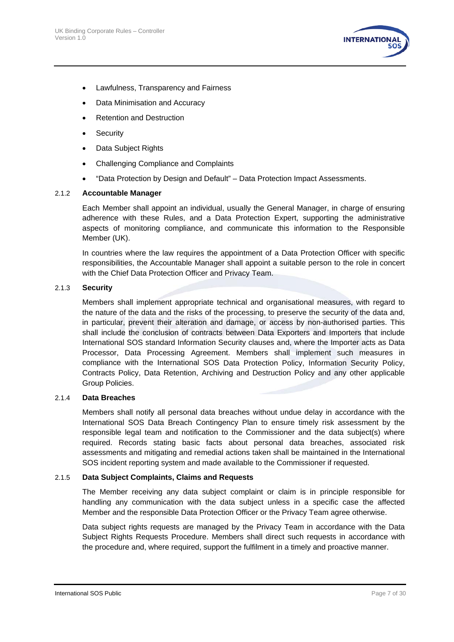

- Lawfulness, Transparency and Fairness
- Data Minimisation and Accuracy
- Retention and Destruction
- Security
- Data Subject Rights
- Challenging Compliance and Complaints
- "Data Protection by Design and Default" Data Protection Impact Assessments.

#### 2.1.2 **Accountable Manager**

Each Member shall appoint an individual, usually the General Manager, in charge of ensuring adherence with these Rules, and a Data Protection Expert, supporting the administrative aspects of monitoring compliance, and communicate this information to the Responsible Member (UK).

In countries where the law requires the appointment of a Data Protection Officer with specific responsibilities, the Accountable Manager shall appoint a suitable person to the role in concert with the Chief Data Protection Officer and Privacy Team.

#### <span id="page-6-0"></span>2.1.3 **Security**

Members shall implement appropriate technical and organisational measures, with regard to the nature of the data and the risks of the processing, to preserve the security of the data and, in particular, prevent their alteration and damage, or access by non-authorised parties. This shall include the conclusion of contracts between Data Exporters and Importers that include International SOS standard Information Security clauses and, where the Importer acts as Data Processor, Data Processing Agreement. Members shall implement such measures in compliance with the International SOS Data Protection Policy, Information Security Policy, Contracts Policy, Data Retention, Archiving and Destruction Policy and any other applicable Group Policies.

#### <span id="page-6-1"></span>2.1.4 **Data Breaches**

Members shall notify all personal data breaches without undue delay in accordance with the International SOS Data Breach Contingency Plan to ensure timely risk assessment by the responsible legal team and notification to the Commissioner and the data subject(s) where required. Records stating basic facts about personal data breaches, associated risk assessments and mitigating and remedial actions taken shall be maintained in the International SOS incident reporting system and made available to the Commissioner if requested.

#### 2.1.5 **Data Subject Complaints, Claims and Requests**

The Member receiving any data subject complaint or claim is in principle responsible for handling any communication with the data subject unless in a specific case the affected Member and the responsible Data Protection Officer or the Privacy Team agree otherwise.

Data subject rights requests are managed by the Privacy Team in accordance with the Data Subject Rights Requests Procedure. Members shall direct such requests in accordance with the procedure and, where required, support the fulfilment in a timely and proactive manner.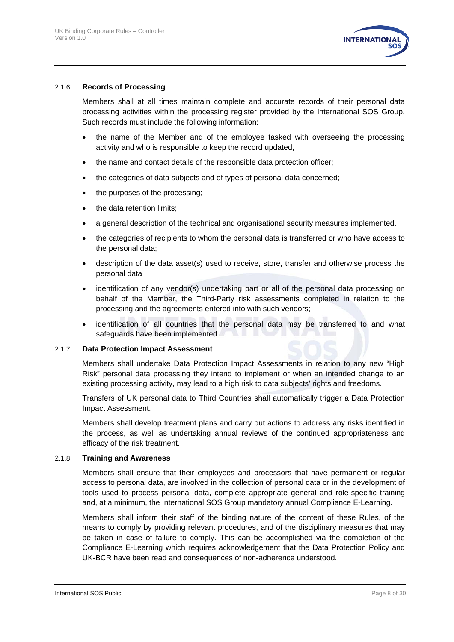

#### 2.1.6 **Records of Processing**

Members shall at all times maintain complete and accurate records of their personal data processing activities within the processing register provided by the International SOS Group. Such records must include the following information:

- the name of the Member and of the employee tasked with overseeing the processing activity and who is responsible to keep the record updated,
- the name and contact details of the responsible data protection officer;
- the categories of data subjects and of types of personal data concerned;
- the purposes of the processing;
- the data retention limits:
- a general description of the technical and organisational security measures implemented.
- the categories of recipients to whom the personal data is transferred or who have access to the personal data;
- description of the data asset(s) used to receive, store, transfer and otherwise process the personal data
- identification of any vendor(s) undertaking part or all of the personal data processing on behalf of the Member, the Third-Party risk assessments completed in relation to the processing and the agreements entered into with such vendors;
- identification of all countries that the personal data may be transferred to and what safeguards have been implemented.

#### 2.1.7 **Data Protection Impact Assessment**

Members shall undertake Data Protection Impact Assessments in relation to any new "High Risk" personal data processing they intend to implement or when an intended change to an existing processing activity, may lead to a high risk to data subjects' rights and freedoms.

Transfers of UK personal data to Third Countries shall automatically trigger a Data Protection Impact Assessment.

Members shall develop treatment plans and carry out actions to address any risks identified in the process, as well as undertaking annual reviews of the continued appropriateness and efficacy of the risk treatment.

#### 2.1.8 **Training and Awareness**

Members shall ensure that their employees and processors that have permanent or regular access to personal data, are involved in the collection of personal data or in the development of tools used to process personal data, complete appropriate general and role-specific training and, at a minimum, the International SOS Group mandatory annual Compliance E-Learning.

Members shall inform their staff of the binding nature of the content of these Rules, of the means to comply by providing relevant procedures, and of the disciplinary measures that may be taken in case of failure to comply. This can be accomplished via the completion of the Compliance E-Learning which requires acknowledgement that the Data Protection Policy and UK-BCR have been read and consequences of non-adherence understood.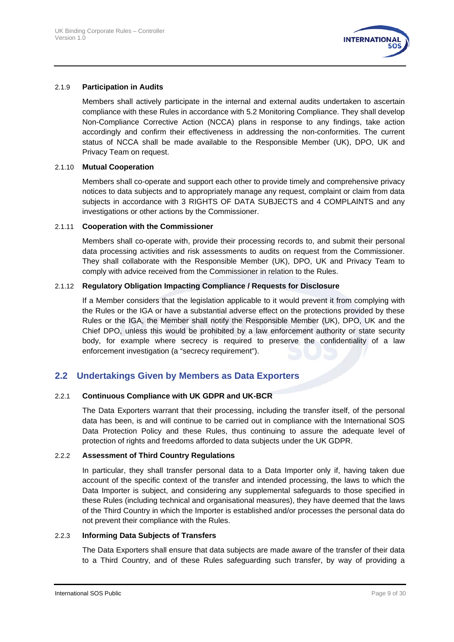

#### 2.1.9 **Participation in Audits**

Members shall actively participate in the internal and external audits undertaken to ascertain compliance with these Rules in accordance with [5.2](#page-14-0) [Monitoring Compliance.](#page-14-0) They shall develop Non-Compliance Corrective Action (NCCA) plans in response to any findings, take action accordingly and confirm their effectiveness in addressing the non-conformities. The current status of NCCA shall be made available to the Responsible Member (UK), DPO, UK and Privacy Team on request.

#### 2.1.10 **Mutual Cooperation**

Members shall co-operate and support each other to provide timely and comprehensive privacy notices to data subjects and to appropriately manage any request, complaint or claim from data subjects in accordance with [3](#page-10-0) RIGHTS OF DATA [SUBJECTS](#page-10-0) and [4](#page-11-0) [COMPLAINTS](#page-11-0) and any investigations or other actions by the Commissioner.

#### 2.1.11 **Cooperation with the Commissioner**

Members shall co-operate with, provide their processing records to, and submit their personal data processing activities and risk assessments to audits on request from the Commissioner. They shall collaborate with the Responsible Member (UK), DPO, UK and Privacy Team to comply with advice received from the Commissioner in relation to the Rules.

#### <span id="page-8-1"></span>2.1.12 **Regulatory Obligation Impacting Compliance / Requests for Disclosure**

If a Member considers that the legislation applicable to it would prevent it from complying with the Rules or the IGA or have a substantial adverse effect on the protections provided by these Rules or the IGA, the Member shall notify the Responsible Member (UK), DPO, UK and the Chief DPO, unless this would be prohibited by a law enforcement authority or state security body, for example where secrecy is required to preserve the confidentiality of a law enforcement investigation (a "secrecy requirement").

#### <span id="page-8-0"></span>**2.2 Undertakings Given by Members as Data Exporters**

#### 2.2.1 **Continuous Compliance with UK GDPR and UK-BCR**

The Data Exporters warrant that their processing, including the transfer itself, of the personal data has been, is and will continue to be carried out in compliance with the International SOS Data Protection Policy and these Rules, thus continuing to assure the adequate level of protection of rights and freedoms afforded to data subjects under the UK GDPR.

#### 2.2.2 **Assessment of Third Country Regulations**

In particular, they shall transfer personal data to a Data Importer only if, having taken due account of the specific context of the transfer and intended processing, the laws to which the Data Importer is subject, and considering any supplemental safeguards to those specified in these Rules (including technical and organisational measures), they have deemed that the laws of the Third Country in which the Importer is established and/or processes the personal data do not prevent their compliance with the Rules.

#### <span id="page-8-2"></span>2.2.3 **Informing Data Subjects of Transfers**

The Data Exporters shall ensure that data subjects are made aware of the transfer of their data to a Third Country, and of these Rules safeguarding such transfer, by way of providing a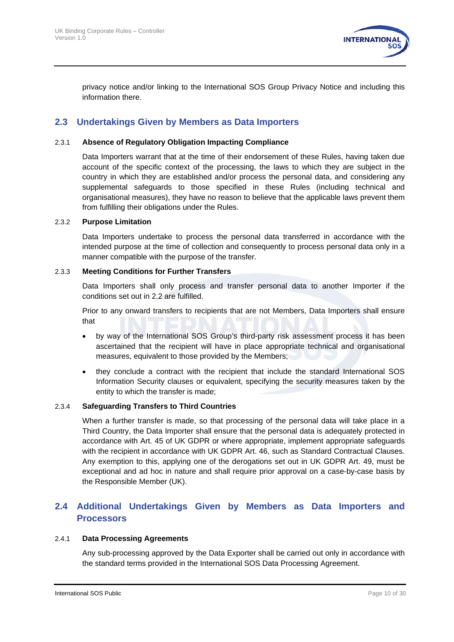

privacy notice and/or linking to the International SOS Group Privacy Notice and including this information there.

#### **2.3 Undertakings Given by Members as Data Importers**

#### 2.3.1 **Absence of Regulatory Obligation Impacting Compliance**

Data Importers warrant that at the time of their endorsement of these Rules, having taken due account of the specific context of the processing, the laws to which they are subject in the country in which they are established and/or process the personal data, and considering any supplemental safeguards to those specified in these Rules (including technical and organisational measures), they have no reason to believe that the applicable laws prevent them from fulfilling their obligations under the Rules.

#### 2.3.2 **Purpose Limitation**

Data Importers undertake to process the personal data transferred in accordance with the intended purpose at the time of collection and consequently to process personal data only in a manner compatible with the purpose of the transfer.

#### 2.3.3 **Meeting Conditions for Further Transfers**

Data Importers shall only process and transfer personal data to another Importer if the conditions set out in [2.2](#page-8-0) are fulfilled.

<span id="page-9-0"></span>Prior to any onward transfers to recipients that are not Members, Data Importers shall ensure that

- by way of the International SOS Group's third-party risk assessment process it has been ascertained that the recipient will have in place appropriate technical and organisational measures, equivalent to those provided by the Members;
- they conclude a contract with the recipient that include the standard International SOS Information Security clauses or equivalent, specifying the security measures taken by the entity to which the transfer is made;

#### 2.3.4 **Safeguarding Transfers to Third Countries**

When a further transfer is made, so that processing of the personal data will take place in a Third Country, the Data Importer shall ensure that the personal data is adequately protected in accordance with Art. 45 of UK GDPR or where appropriate, implement appropriate safeguards with the recipient in accordance with UK GDPR Art. 46, such as Standard Contractual Clauses. Any exemption to this, applying one of the derogations set out in UK GDPR Art. 49, must be exceptional and ad hoc in nature and shall require prior approval on a case-by-case basis by the Responsible Member (UK).

#### **2.4 Additional Undertakings Given by Members as Data Importers and Processors**

#### 2.4.1 **Data Processing Agreements**

Any sub-processing approved by the Data Exporter shall be carried out only in accordance with the standard terms provided in the International SOS Data Processing Agreement.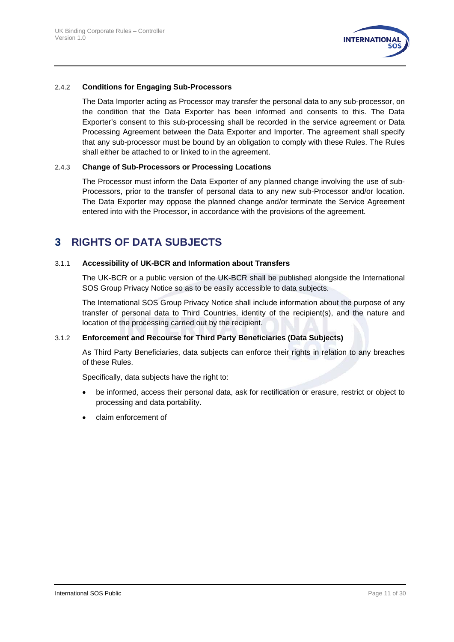

#### 2.4.2 **Conditions for Engaging Sub-Processors**

The Data Importer acting as Processor may transfer the personal data to any sub-processor, on the condition that the Data Exporter has been informed and consents to this. The Data Exporter's consent to this sub-processing shall be recorded in the service agreement or Data Processing Agreement between the Data Exporter and Importer. The agreement shall specify that any sub-processor must be bound by an obligation to comply with these Rules. The Rules shall either be attached to or linked to in the agreement.

#### 2.4.3 **Change of Sub-Processors or Processing Locations**

The Processor must inform the Data Exporter of any planned change involving the use of sub-Processors, prior to the transfer of personal data to any new sub-Processor and/or location. The Data Exporter may oppose the planned change and/or terminate the Service Agreement entered into with the Processor, in accordance with the provisions of the agreement.

# <span id="page-10-0"></span>**3 RIGHTS OF DATA SUBJECTS**

#### 3.1.1 **Accessibility of UK-BCR and Information about Transfers**

The UK-BCR or a public version of the UK-BCR shall be published alongside the International SOS Group Privacy Notice so as to be easily accessible to data subjects.

The International SOS Group Privacy Notice shall include information about the purpose of any transfer of personal data to Third Countries, identity of the recipient(s), and the nature and location of the processing carried out by the recipient.

#### 3.1.2 **Enforcement and Recourse for Third Party Beneficiaries (Data Subjects)**

As Third Party Beneficiaries, data subjects can enforce their rights in relation to any breaches of these Rules.

Specifically, data subjects have the right to:

- be informed, access their personal data, ask for rectification or erasure, restrict or object to processing and data portability.
- claim enforcement of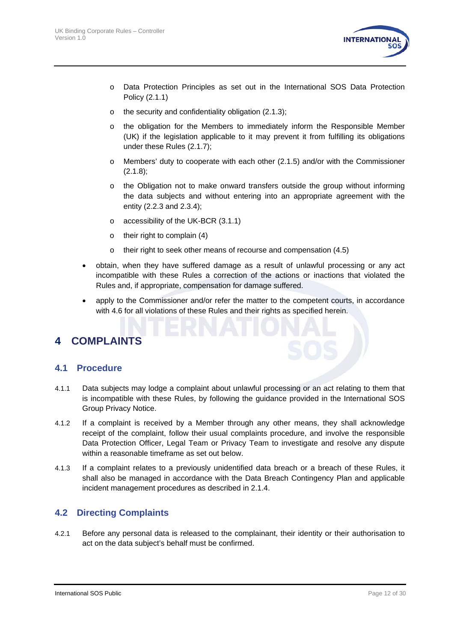

- o Data Protection Principles as set out in the International SOS Data Protection Policy (2.1.1)
- o the security and confidentiality obligation [\(2.1.3\)](#page-6-0);
- o the obligation for the Members to immediately inform the Responsible Member (UK) if the legislation applicable to it may prevent it from fulfilling its obligations under these Rules [\(2.1.7\)](#page-8-1);
- o Members' duty to cooperate with each other (2.1.5) and/or with the Commissioner (2.1.8);
- o the Obligation not to make onward transfers outside the group without informing the data subjects and without entering into an appropriate agreement with the entity [\(2.2.3](#page-8-2) and [2.3.4\)](#page-9-0);
- o accessibility of the UK-BCR (3.1.1)
- o their right to complain (4)
- $\circ$  their right to seek other means of recourse and compensation [\(4.5\)](#page-12-0)
- obtain, when they have suffered damage as a result of unlawful processing or any act incompatible with these Rules a correction of the actions or inactions that violated the Rules and, if appropriate, compensation for damage suffered.
- apply to the Commissioner and/or refer the matter to the competent courts, in accordance with [4.6](#page-13-0) for all violations of these Rules and their rights as specified herein.

# <span id="page-11-0"></span>**4 COMPLAINTS**

#### **4.1 Procedure**

- 4.1.1 Data subjects may lodge a complaint about unlawful processing or an act relating to them that is incompatible with these Rules, by following the guidance provided in the International SOS Group Privacy Notice.
- 4.1.2 If a complaint is received by a Member through any other means, they shall acknowledge receipt of the complaint, follow their usual complaints procedure, and involve the responsible Data Protection Officer, Legal Team or Privacy Team to investigate and resolve any dispute within a reasonable timeframe as set out below.
- 4.1.3 If a complaint relates to a previously unidentified data breach or a breach of these Rules, it shall also be managed in accordance with the Data Breach Contingency Plan and applicable incident management procedures as described in [2.1.4.](#page-6-1)

#### **4.2 Directing Complaints**

4.2.1 Before any personal data is released to the complainant, their identity or their authorisation to act on the data subject's behalf must be confirmed.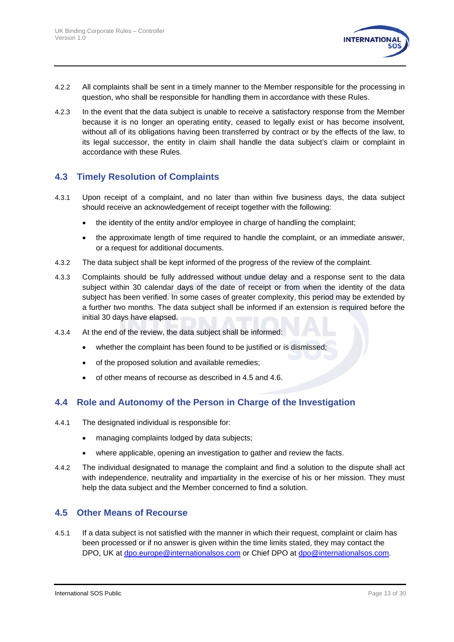

- 4.2.2 All complaints shall be sent in a timely manner to the Member responsible for the processing in question, who shall be responsible for handling them in accordance with these Rules.
- 4.2.3 In the event that the data subject is unable to receive a satisfactory response from the Member because it is no longer an operating entity, ceased to legally exist or has become insolvent, without all of its obligations having been transferred by contract or by the effects of the law, to its legal successor, the entity in claim shall handle the data subject's claim or complaint in accordance with these Rules.

#### **4.3 Timely Resolution of Complaints**

- 4.3.1 Upon receipt of a complaint, and no later than within five business days, the data subject should receive an acknowledgement of receipt together with the following:
	- the identity of the entity and/or employee in charge of handling the complaint;
	- the approximate length of time required to handle the complaint, or an immediate answer, or a request for additional documents.
- 4.3.2 The data subject shall be kept informed of the progress of the review of the complaint.
- 4.3.3 Complaints should be fully addressed without undue delay and a response sent to the data subject within 30 calendar days of the date of receipt or from when the identity of the data subject has been verified. In some cases of greater complexity, this period may be extended by a further two months. The data subject shall be informed if an extension is required before the initial 30 days have elapsed.
- 4.3.4 At the end of the review, the data subject shall be informed:
	- whether the complaint has been found to be justified or is dismissed;
	- of the proposed solution and available remedies;
	- of other means of recourse as described in [4.5](#page-12-0) and 4.6.

#### **4.4 Role and Autonomy of the Person in Charge of the Investigation**

- 4.4.1 The designated individual is responsible for:
	- managing complaints lodged by data subjects;
	- where applicable, opening an investigation to gather and review the facts.
- 4.4.2 The individual designated to manage the complaint and find a solution to the dispute shall act with independence, neutrality and impartiality in the exercise of his or her mission. They must help the data subject and the Member concerned to find a solution.

#### <span id="page-12-0"></span>**4.5 Other Means of Recourse**

4.5.1 If a data subject is not satisfied with the manner in which their request, complaint or claim has been processed or if no answer is given within the time limits stated, they may contact the DPO, UK at [dpo.europe@internationalsos.com](mailto:dpo.europe@internationalsos.com) or Chief DPO at [dpo@internationalsos.com.](mailto:dpo@internationalsos.com)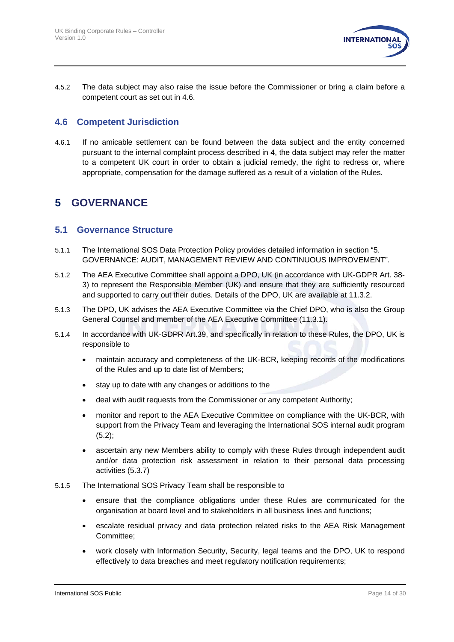

4.5.2 The data subject may also raise the issue before the Commissioner or bring a claim before a competent court as set out in 4.6.

#### <span id="page-13-0"></span>**4.6 Competent Jurisdiction**

4.6.1 If no amicable settlement can be found between the data subject and the entity concerned pursuant to the internal complaint process described in [4,](#page-11-0) the data subject may refer the matter to a competent UK court in order to obtain a judicial remedy, the right to redress or, where appropriate, compensation for the damage suffered as a result of a violation of the Rules.

# **5 GOVERNANCE**

#### **5.1 Governance Structure**

- 5.1.1 The International SOS Data Protection Policy provides detailed information in section "5. GOVERNANCE: AUDIT, MANAGEMENT REVIEW AND CONTINUOUS IMPROVEMENT".
- 5.1.2 The AEA Executive Committee shall appoint a DPO, UK (in accordance with UK-GDPR Art. 38- 3) to represent the Responsible Member (UK) and ensure that they are sufficiently resourced and supported to carry out their duties. Details of the DPO, UK are available at [11.3.2.](#page-28-1)
- 5.1.3 The DPO, UK advises the AEA Executive Committee via the Chief DPO, who is also the Group General Counsel and member of the AEA Executive Committee (11.3.1).
- 5.1.4 In accordance with UK-GDPR Art.39, and specifically in relation to these Rules, the DPO, UK is responsible to
	- maintain accuracy and completeness of the UK-BCR, keeping records of the modifications of the Rules and up to date list of Members;
	- stay up to date with any changes or additions to the
	- deal with audit requests from the Commissioner or any competent Authority;
	- monitor and report to the AEA Executive Committee on compliance with the UK-BCR, with support from the Privacy Team and leveraging the International SOS internal audit program  $(5.2);$  $(5.2);$
	- ascertain any new Members ability to comply with these Rules through independent audit and/or data protection risk assessment in relation to their personal data processing activities (5.3.7)
- 5.1.5 The International SOS Privacy Team shall be responsible to
	- ensure that the compliance obligations under these Rules are communicated for the organisation at board level and to stakeholders in all business lines and functions;
	- escalate residual privacy and data protection related risks to the AEA Risk Management Committee;
	- work closely with Information Security, Security, legal teams and the DPO, UK to respond effectively to data breaches and meet regulatory notification requirements;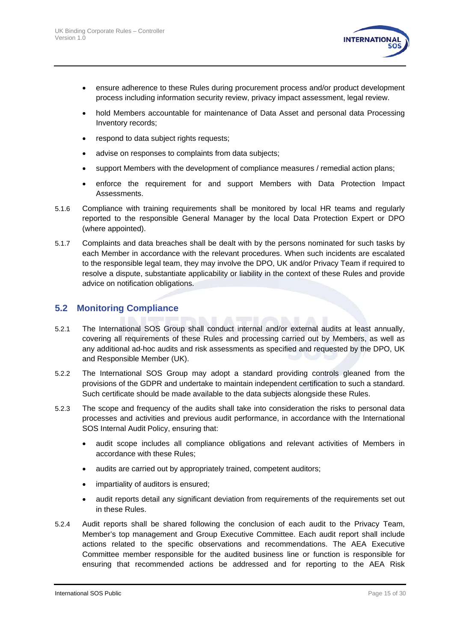

- ensure adherence to these Rules during procurement process and/or product development process including information security review, privacy impact assessment, legal review.
- hold Members accountable for maintenance of Data Asset and personal data Processing Inventory records;
- respond to data subject rights requests;
- advise on responses to complaints from data subjects;
- support Members with the development of compliance measures / remedial action plans;
- enforce the requirement for and support Members with Data Protection Impact Assessments.
- 5.1.6 Compliance with training requirements shall be monitored by local HR teams and regularly reported to the responsible General Manager by the local Data Protection Expert or DPO (where appointed).
- 5.1.7 Complaints and data breaches shall be dealt with by the persons nominated for such tasks by each Member in accordance with the relevant procedures. When such incidents are escalated to the responsible legal team, they may involve the DPO, UK and/or Privacy Team if required to resolve a dispute, substantiate applicability or liability in the context of these Rules and provide advice on notification obligations.

#### <span id="page-14-0"></span>**5.2 Monitoring Compliance**

- 5.2.1 The International SOS Group shall conduct internal and/or external audits at least annually, covering all requirements of these Rules and processing carried out by Members, as well as any additional ad-hoc audits and risk assessments as specified and requested by the DPO, UK and Responsible Member (UK).
- 5.2.2 The International SOS Group may adopt a standard providing controls gleaned from the provisions of the GDPR and undertake to maintain independent certification to such a standard. Such certificate should be made available to the data subjects alongside these Rules.
- 5.2.3 The scope and frequency of the audits shall take into consideration the risks to personal data processes and activities and previous audit performance, in accordance with the International SOS Internal Audit Policy, ensuring that:
	- audit scope includes all compliance obligations and relevant activities of Members in accordance with these Rules;
	- audits are carried out by appropriately trained, competent auditors;
	- impartiality of auditors is ensured;
	- audit reports detail any significant deviation from requirements of the requirements set out in these Rules.
- 5.2.4 Audit reports shall be shared following the conclusion of each audit to the Privacy Team, Member's top management and Group Executive Committee. Each audit report shall include actions related to the specific observations and recommendations. The AEA Executive Committee member responsible for the audited business line or function is responsible for ensuring that recommended actions be addressed and for reporting to the AEA Risk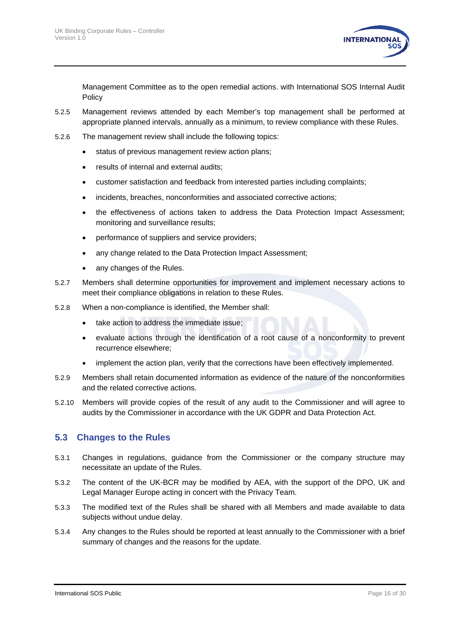

Management Committee as to the open remedial actions. with International SOS Internal Audit Policy

- 5.2.5 Management reviews attended by each Member's top management shall be performed at appropriate planned intervals, annually as a minimum, to review compliance with these Rules.
- 5.2.6 The management review shall include the following topics:
	- status of previous management review action plans;
	- results of internal and external audits;
	- customer satisfaction and feedback from interested parties including complaints;
	- incidents, breaches, nonconformities and associated corrective actions;
	- the effectiveness of actions taken to address the Data Protection Impact Assessment; monitoring and surveillance results;
	- performance of suppliers and service providers;
	- any change related to the Data Protection Impact Assessment;
	- any changes of the Rules.
- 5.2.7 Members shall determine opportunities for improvement and implement necessary actions to meet their compliance obligations in relation to these Rules.
- 5.2.8 When a non-compliance is identified, the Member shall:
	- take action to address the immediate issue;
	- evaluate actions through the identification of a root cause of a nonconformity to prevent recurrence elsewhere;
	- implement the action plan, verify that the corrections have been effectively implemented.
- 5.2.9 Members shall retain documented information as evidence of the nature of the nonconformities and the related corrective actions.
- 5.2.10 Members will provide copies of the result of any audit to the Commissioner and will agree to audits by the Commissioner in accordance with the UK GDPR and Data Protection Act.

#### <span id="page-15-0"></span>**5.3 Changes to the Rules**

- 5.3.1 Changes in regulations, guidance from the Commissioner or the company structure may necessitate an update of the Rules.
- 5.3.2 The content of the UK-BCR may be modified by AEA, with the support of the DPO, UK and Legal Manager Europe acting in concert with the Privacy Team.
- 5.3.3 The modified text of the Rules shall be shared with all Members and made available to data subjects without undue delay.
- 5.3.4 Any changes to the Rules should be reported at least annually to the Commissioner with a brief summary of changes and the reasons for the update.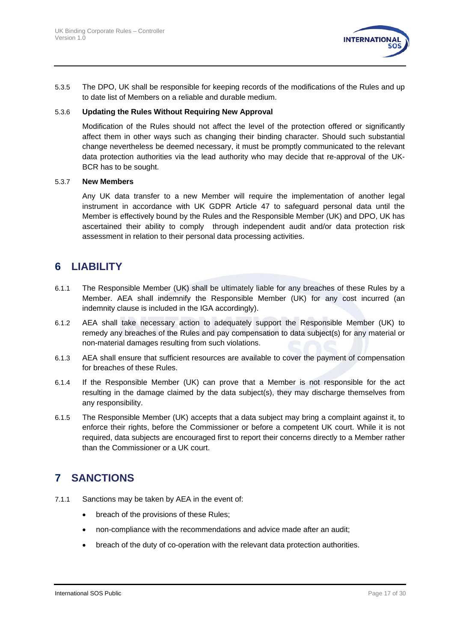

5.3.5 The DPO, UK shall be responsible for keeping records of the modifications of the Rules and up to date list of Members on a reliable and durable medium.

#### 5.3.6 **Updating the Rules Without Requiring New Approval**

Modification of the Rules should not affect the level of the protection offered or significantly affect them in other ways such as changing their binding character. Should such substantial change nevertheless be deemed necessary, it must be promptly communicated to the relevant data protection authorities via the lead authority who may decide that re-approval of the UK-BCR has to be sought.

#### 5.3.7 **New Members**

Any UK data transfer to a new Member will require the implementation of another legal instrument in accordance with UK GDPR Article 47 to safeguard personal data until the Member is effectively bound by the Rules and the Responsible Member (UK) and DPO, UK has ascertained their ability to comply through independent audit and/or data protection risk assessment in relation to their personal data processing activities.

# <span id="page-16-0"></span>**6 LIABILITY**

- 6.1.1 The Responsible Member (UK) shall be ultimately liable for any breaches of these Rules by a Member. AEA shall indemnify the Responsible Member (UK) for any cost incurred (an indemnity clause is included in the IGA accordingly).
- 6.1.2 AEA shall take necessary action to adequately support the Responsible Member (UK) to remedy any breaches of the Rules and pay compensation to data subject(s) for any material or non-material damages resulting from such violations.
- 6.1.3 AEA shall ensure that sufficient resources are available to cover the payment of compensation for breaches of these Rules.
- 6.1.4 If the Responsible Member (UK) can prove that a Member is not responsible for the act resulting in the damage claimed by the data subject(s), they may discharge themselves from any responsibility.
- 6.1.5 The Responsible Member (UK) accepts that a data subject may bring a complaint against it, to enforce their rights, before the Commissioner or before a competent UK court. While it is not required, data subjects are encouraged first to report their concerns directly to a Member rather than the Commissioner or a UK court.

# <span id="page-16-1"></span>**7 SANCTIONS**

- 7.1.1 Sanctions may be taken by AEA in the event of:
	- breach of the provisions of these Rules;
	- non-compliance with the recommendations and advice made after an audit;
	- breach of the duty of co-operation with the relevant data protection authorities.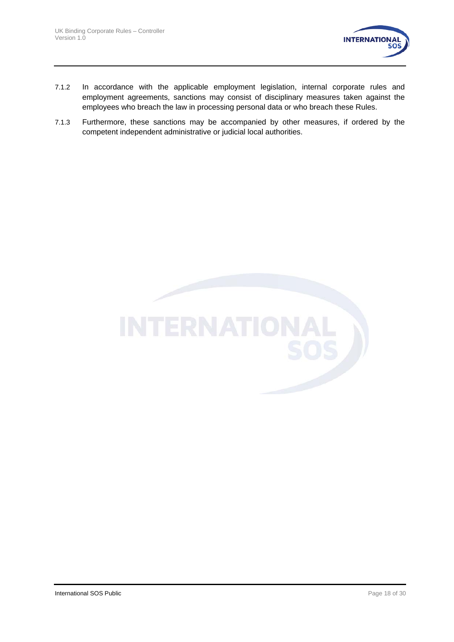

- 7.1.2 In accordance with the applicable employment legislation, internal corporate rules and employment agreements, sanctions may consist of disciplinary measures taken against the employees who breach the law in processing personal data or who breach these Rules.
- 7.1.3 Furthermore, these sanctions may be accompanied by other measures, if ordered by the competent independent administrative or judicial local authorities.

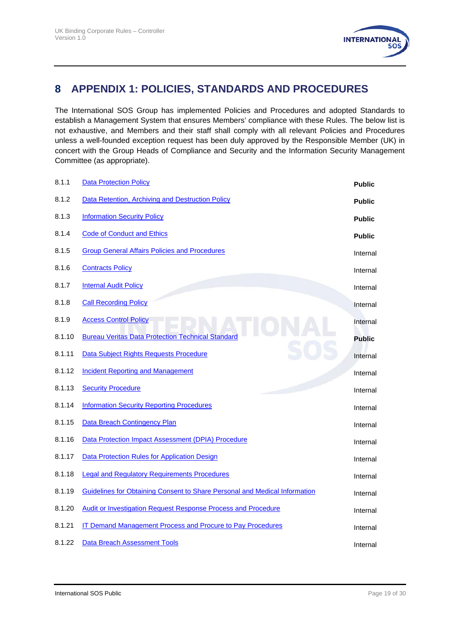

# <span id="page-18-0"></span>**8 APPENDIX 1: POLICIES, STANDARDS AND PROCEDURES**

The International SOS Group has implemented Policies and Procedures and adopted Standards to establish a Management System that ensures Members' compliance with these Rules. The below list is not exhaustive, and Members and their staff shall comply with all relevant Policies and Procedures unless a well-founded exception request has been duly approved by the Responsible Member (UK) in concert with the Group Heads of Compliance and Security and the Information Security Management Committee (as appropriate).

| 8.1.1  | <b>Data Protection Policy</b>                                              | <b>Public</b> |
|--------|----------------------------------------------------------------------------|---------------|
| 8.1.2  | Data Retention, Archiving and Destruction Policy                           | <b>Public</b> |
| 8.1.3  | <b>Information Security Policy</b>                                         | <b>Public</b> |
| 8.1.4  | <b>Code of Conduct and Ethics</b>                                          | <b>Public</b> |
| 8.1.5  | <b>Group General Affairs Policies and Procedures</b>                       | Internal      |
| 8.1.6  | <b>Contracts Policy</b>                                                    | Internal      |
| 8.1.7  | <b>Internal Audit Policy</b>                                               | Internal      |
| 8.1.8  | <b>Call Recording Policy</b>                                               | Internal      |
| 8.1.9  | <b>Access Control Policy</b>                                               | Internal      |
| 8.1.10 | <b>Bureau Veritas Data Protection Technical Standard</b>                   | <b>Public</b> |
| 8.1.11 | Data Subject Rights Requests Procedure                                     | Internal      |
| 8.1.12 | <b>Incident Reporting and Management</b>                                   | Internal      |
| 8.1.13 | <b>Security Procedure</b>                                                  | Internal      |
| 8.1.14 | <b>Information Security Reporting Procedures</b>                           | Internal      |
| 8.1.15 | Data Breach Contingency Plan                                               | Internal      |
| 8.1.16 | Data Protection Impact Assessment (DPIA) Procedure                         | Internal      |
| 8.1.17 | <b>Data Protection Rules for Application Design</b>                        | Internal      |
| 8.1.18 | <b>Legal and Regulatory Requirements Procedures</b>                        | Internal      |
| 8.1.19 | Guidelines for Obtaining Consent to Share Personal and Medical Information | Internal      |
| 8.1.20 | <b>Audit or Investigation Request Response Process and Procedure</b>       | Internal      |
| 8.1.21 | <b>IT Demand Management Process and Procure to Pay Procedures</b>          | Internal      |
| 8.1.22 | <b>Data Breach Assessment Tools</b>                                        | Internal      |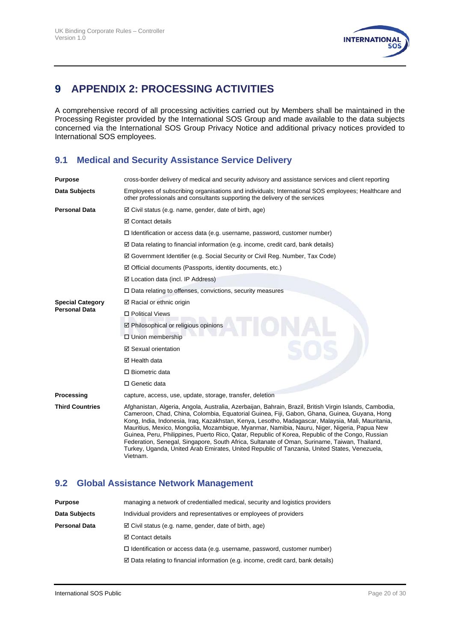

# <span id="page-19-0"></span>**9 APPENDIX 2: PROCESSING ACTIVITIES**

A comprehensive record of all processing activities carried out by Members shall be maintained in the Processing Register provided by the International SOS Group and made available to the data subjects concerned via the International SOS Group Privacy Notice and additional privacy notices provided to International SOS employees.

#### **9.1 Medical and Security Assistance Service Delivery**

| <b>Purpose</b>          | cross-border delivery of medical and security advisory and assistance services and client reporting                                                                                                                                                                                                                                                                                                                                                                                                                                                                                                                                                                                                                         |
|-------------------------|-----------------------------------------------------------------------------------------------------------------------------------------------------------------------------------------------------------------------------------------------------------------------------------------------------------------------------------------------------------------------------------------------------------------------------------------------------------------------------------------------------------------------------------------------------------------------------------------------------------------------------------------------------------------------------------------------------------------------------|
| Data Subjects           | Employees of subscribing organisations and individuals; International SOS employees; Healthcare and<br>other professionals and consultants supporting the delivery of the services                                                                                                                                                                                                                                                                                                                                                                                                                                                                                                                                          |
| <b>Personal Data</b>    | $\boxtimes$ Civil status (e.g. name, gender, date of birth, age)                                                                                                                                                                                                                                                                                                                                                                                                                                                                                                                                                                                                                                                            |
|                         | <b>⊠</b> Contact details                                                                                                                                                                                                                                                                                                                                                                                                                                                                                                                                                                                                                                                                                                    |
|                         | $\Box$ Identification or access data (e.g. username, password, customer number)                                                                                                                                                                                                                                                                                                                                                                                                                                                                                                                                                                                                                                             |
|                         | $\boxtimes$ Data relating to financial information (e.g. income, credit card, bank details)                                                                                                                                                                                                                                                                                                                                                                                                                                                                                                                                                                                                                                 |
|                         | $\boxtimes$ Government Identifier (e.g. Social Security or Civil Reg. Number, Tax Code)                                                                                                                                                                                                                                                                                                                                                                                                                                                                                                                                                                                                                                     |
|                         | $\boxtimes$ Official documents (Passports, identity documents, etc.)                                                                                                                                                                                                                                                                                                                                                                                                                                                                                                                                                                                                                                                        |
|                         | $\boxtimes$ Location data (incl. IP Address)                                                                                                                                                                                                                                                                                                                                                                                                                                                                                                                                                                                                                                                                                |
|                         | $\Box$ Data relating to offenses, convictions, security measures                                                                                                                                                                                                                                                                                                                                                                                                                                                                                                                                                                                                                                                            |
| <b>Special Category</b> | $\boxtimes$ Racial or ethnic origin                                                                                                                                                                                                                                                                                                                                                                                                                                                                                                                                                                                                                                                                                         |
| <b>Personal Data</b>    | □ Political Views                                                                                                                                                                                                                                                                                                                                                                                                                                                                                                                                                                                                                                                                                                           |
|                         | ☑ Philosophical or religious opinions                                                                                                                                                                                                                                                                                                                                                                                                                                                                                                                                                                                                                                                                                       |
|                         | □ Union membership                                                                                                                                                                                                                                                                                                                                                                                                                                                                                                                                                                                                                                                                                                          |
|                         | ☑ Sexual orientation                                                                                                                                                                                                                                                                                                                                                                                                                                                                                                                                                                                                                                                                                                        |
|                         | $\boxtimes$ Health data                                                                                                                                                                                                                                                                                                                                                                                                                                                                                                                                                                                                                                                                                                     |
|                         | $\Box$ Biometric data                                                                                                                                                                                                                                                                                                                                                                                                                                                                                                                                                                                                                                                                                                       |
|                         | □ Genetic data                                                                                                                                                                                                                                                                                                                                                                                                                                                                                                                                                                                                                                                                                                              |
| Processing              | capture, access, use, update, storage, transfer, deletion                                                                                                                                                                                                                                                                                                                                                                                                                                                                                                                                                                                                                                                                   |
| <b>Third Countries</b>  | Afghanistan, Algeria, Angola, Australia, Azerbaijan, Bahrain, Brazil, British Virgin Islands, Cambodia,<br>Cameroon, Chad, China, Colombia, Equatorial Guinea, Fiji, Gabon, Ghana, Guinea, Guyana, Hong<br>Kong, India, Indonesia, Iraq, Kazakhstan, Kenya, Lesotho, Madagascar, Malaysia, Mali, Mauritania,<br>Mauritius, Mexico, Mongolia, Mozambigue, Myanmar, Namibia, Nauru, Niger, Nigeria, Papua New<br>Guinea, Peru, Philippines, Puerto Rico, Qatar, Republic of Korea, Republic of the Congo, Russian<br>Federation, Senegal, Singapore, South Africa, Sultanate of Oman, Suriname, Taiwan, Thailand,<br>Turkey, Uganda, United Arab Emirates, United Republic of Tanzania, United States, Venezuela,<br>Vietnam. |

#### **9.2 Global Assistance Network Management**

| <b>Purpose</b>       | managing a network of credentialled medical, security and logistics providers               |
|----------------------|---------------------------------------------------------------------------------------------|
| Data Subjects        | Individual providers and representatives or employees of providers                          |
| <b>Personal Data</b> | $\boxtimes$ Civil status (e.g. name, gender, date of birth, age)                            |
|                      | <b>⊠</b> Contact details                                                                    |
|                      | $\Box$ Identification or access data (e.g. username, password, customer number)             |
|                      | $\boxtimes$ Data relating to financial information (e.g. income, credit card, bank details) |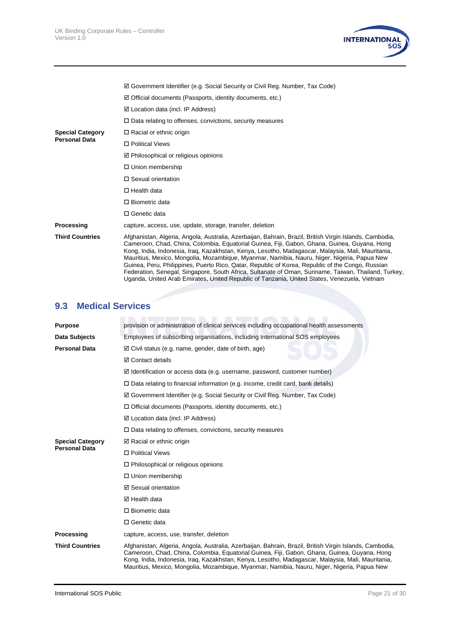

|                         | ☑ Government Identifier (e.g. Social Security or Civil Reg. Number, Tax Code)                                                                                                                                                                                                                                                                                                                                                                                                                                                                                                                                                                                                                                           |
|-------------------------|-------------------------------------------------------------------------------------------------------------------------------------------------------------------------------------------------------------------------------------------------------------------------------------------------------------------------------------------------------------------------------------------------------------------------------------------------------------------------------------------------------------------------------------------------------------------------------------------------------------------------------------------------------------------------------------------------------------------------|
|                         | $\boxtimes$ Official documents (Passports, identity documents, etc.)                                                                                                                                                                                                                                                                                                                                                                                                                                                                                                                                                                                                                                                    |
|                         | $\boxtimes$ Location data (incl. IP Address)                                                                                                                                                                                                                                                                                                                                                                                                                                                                                                                                                                                                                                                                            |
|                         | $\Box$ Data relating to offenses, convictions, security measures                                                                                                                                                                                                                                                                                                                                                                                                                                                                                                                                                                                                                                                        |
| <b>Special Category</b> | $\Box$ Racial or ethnic origin                                                                                                                                                                                                                                                                                                                                                                                                                                                                                                                                                                                                                                                                                          |
| <b>Personal Data</b>    | □ Political Views                                                                                                                                                                                                                                                                                                                                                                                                                                                                                                                                                                                                                                                                                                       |
|                         | $\boxtimes$ Philosophical or religious opinions                                                                                                                                                                                                                                                                                                                                                                                                                                                                                                                                                                                                                                                                         |
|                         | $\Box$ Union membership                                                                                                                                                                                                                                                                                                                                                                                                                                                                                                                                                                                                                                                                                                 |
|                         | □ Sexual orientation                                                                                                                                                                                                                                                                                                                                                                                                                                                                                                                                                                                                                                                                                                    |
|                         | $\Box$ Health data                                                                                                                                                                                                                                                                                                                                                                                                                                                                                                                                                                                                                                                                                                      |
|                         | $\Box$ Biometric data                                                                                                                                                                                                                                                                                                                                                                                                                                                                                                                                                                                                                                                                                                   |
|                         | $\Box$ Genetic data                                                                                                                                                                                                                                                                                                                                                                                                                                                                                                                                                                                                                                                                                                     |
| Processing              | capture, access, use, update, storage, transfer, deletion                                                                                                                                                                                                                                                                                                                                                                                                                                                                                                                                                                                                                                                               |
| <b>Third Countries</b>  | Afghanistan, Algeria, Angola, Australia, Azerbaijan, Bahrain, Brazil, British Virgin Islands, Cambodia,<br>Cameroon, Chad, China, Colombia, Equatorial Guinea, Fiji, Gabon, Ghana, Guinea, Guyana, Hong<br>Kong, India, Indonesia, Iraq, Kazakhstan, Kenya, Lesotho, Madagascar, Malaysia, Mali, Mauritania,<br>Mauritius, Mexico, Mongolia, Mozambique, Myanmar, Namibia, Nauru, Niger, Nigeria, Papua New<br>Guinea, Peru, Philippines, Puerto Rico, Qatar, Republic of Korea, Republic of the Congo, Russian<br>Federation, Senegal, Singapore, South Africa, Sultanate of Oman, Suriname, Taiwan, Thailand, Turkey,<br>Uganda, United Arab Emirates, United Republic of Tanzania, United States, Venezuela, Vietnam |

# **9.3 Medical Services**

| <b>Purpose</b>          | provision or administration of clinical services including occupational health assessments                                                                                                                                                                                                                                                                                                                  |
|-------------------------|-------------------------------------------------------------------------------------------------------------------------------------------------------------------------------------------------------------------------------------------------------------------------------------------------------------------------------------------------------------------------------------------------------------|
| Data Subjects           | Employees of subscribing organisations, including International SOS employees                                                                                                                                                                                                                                                                                                                               |
| <b>Personal Data</b>    | $\boxtimes$ Civil status (e.g. name, gender, date of birth, age)                                                                                                                                                                                                                                                                                                                                            |
|                         | <b>☑</b> Contact details                                                                                                                                                                                                                                                                                                                                                                                    |
|                         | $\boxtimes$ Identification or access data (e.g. username, password, customer number)                                                                                                                                                                                                                                                                                                                        |
|                         | $\Box$ Data relating to financial information (e.g. income, credit card, bank details)                                                                                                                                                                                                                                                                                                                      |
|                         | ☑ Government Identifier (e.g. Social Security or Civil Reg. Number, Tax Code)                                                                                                                                                                                                                                                                                                                               |
|                         | $\Box$ Official documents (Passports, identity documents, etc.)                                                                                                                                                                                                                                                                                                                                             |
|                         | $\boxtimes$ Location data (incl. IP Address)                                                                                                                                                                                                                                                                                                                                                                |
|                         | $\Box$ Data relating to offenses, convictions, security measures                                                                                                                                                                                                                                                                                                                                            |
| <b>Special Category</b> | $\boxtimes$ Racial or ethnic origin                                                                                                                                                                                                                                                                                                                                                                         |
| <b>Personal Data</b>    | □ Political Views                                                                                                                                                                                                                                                                                                                                                                                           |
|                         | $\Box$ Philosophical or religious opinions                                                                                                                                                                                                                                                                                                                                                                  |
|                         | □ Union membership                                                                                                                                                                                                                                                                                                                                                                                          |
|                         | ☑ Sexual orientation                                                                                                                                                                                                                                                                                                                                                                                        |
|                         | ⊠ Health data                                                                                                                                                                                                                                                                                                                                                                                               |
|                         | $\Box$ Biometric data                                                                                                                                                                                                                                                                                                                                                                                       |
|                         | □ Genetic data                                                                                                                                                                                                                                                                                                                                                                                              |
| Processing              | capture, access, use, transfer, deletion                                                                                                                                                                                                                                                                                                                                                                    |
| <b>Third Countries</b>  | Afghanistan, Algeria, Angola, Australia, Azerbaijan, Bahrain, Brazil, British Virgin Islands, Cambodia,<br>Cameroon, Chad, China, Colombia, Equatorial Guinea, Fiji, Gabon, Ghana, Guinea, Guyana, Hong<br>Kong, India, Indonesia, Iraq, Kazakhstan, Kenya, Lesotho, Madagascar, Malaysia, Mali, Mauritania,<br>Mauritius, Mexico, Mongolia, Mozambique, Myanmar, Namibia, Nauru, Niger, Nigeria, Papua New |
|                         |                                                                                                                                                                                                                                                                                                                                                                                                             |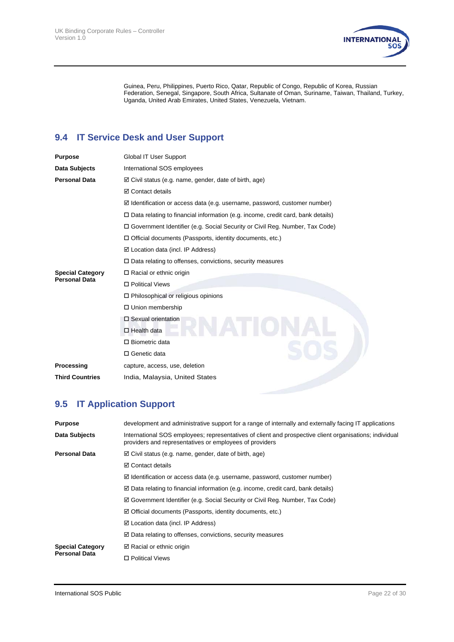

Guinea, Peru, Philippines, Puerto Rico, Qatar, Republic of Congo, Republic of Korea, Russian Federation, Senegal, Singapore, South Africa, Sultanate of Oman, Suriname, Taiwan, Thailand, Turkey, Uganda, United Arab Emirates, United States, Venezuela, Vietnam.

## **9.4 IT Service Desk and User Support**

| Purpose                 | Global IT User Support                                                                 |
|-------------------------|----------------------------------------------------------------------------------------|
| Data Subjects           | International SOS employees                                                            |
| Personal Data           | $\boxtimes$ Civil status (e.g. name, gender, date of birth, age)                       |
|                         | <b>☑</b> Contact details                                                               |
|                         | $\boxtimes$ Identification or access data (e.g. username, password, customer number)   |
|                         | $\Box$ Data relating to financial information (e.g. income, credit card, bank details) |
|                         | □ Government Identifier (e.g. Social Security or Civil Reg. Number, Tax Code)          |
|                         | $\Box$ Official documents (Passports, identity documents, etc.)                        |
|                         | ☑ Location data (incl. IP Address)                                                     |
|                         | $\Box$ Data relating to offenses, convictions, security measures                       |
| <b>Special Category</b> | $\Box$ Racial or ethnic origin                                                         |
| Personal Data           | □ Political Views                                                                      |
|                         | $\Box$ Philosophical or religious opinions                                             |
|                         | □ Union membership                                                                     |
|                         | $\Box$ Sexual orientation                                                              |
|                         | $\Box$ Health data                                                                     |
|                         | $\Box$ Biometric data                                                                  |
|                         | □ Genetic data                                                                         |
| Processing              | capture, access, use, deletion                                                         |
| <b>Third Countries</b>  | India, Malaysia, United States                                                         |
|                         |                                                                                        |

# **9.5 IT Application Support**

| <b>Purpose</b>          | development and administrative support for a range of internally and externally facing IT applications                                                             |
|-------------------------|--------------------------------------------------------------------------------------------------------------------------------------------------------------------|
| Data Subjects           | International SOS employees; representatives of client and prospective client organisations; individual<br>providers and representatives or employees of providers |
| <b>Personal Data</b>    | $\boxtimes$ Civil status (e.g. name, gender, date of birth, age)                                                                                                   |
|                         | $\boxtimes$ Contact details                                                                                                                                        |
|                         | $\boxtimes$ Identification or access data (e.g. username, password, customer number)                                                                               |
|                         | $\boxtimes$ Data relating to financial information (e.g. income, credit card, bank details)                                                                        |
|                         | $\boxtimes$ Government Identifier (e.g. Social Security or Civil Reg. Number, Tax Code)                                                                            |
|                         | $\boxtimes$ Official documents (Passports, identity documents, etc.)                                                                                               |
|                         | $\boxtimes$ Location data (incl. IP Address)                                                                                                                       |
|                         | $\boxtimes$ Data relating to offenses, convictions, security measures                                                                                              |
| <b>Special Category</b> | $\boxtimes$ Racial or ethnic origin                                                                                                                                |
| <b>Personal Data</b>    | □ Political Views                                                                                                                                                  |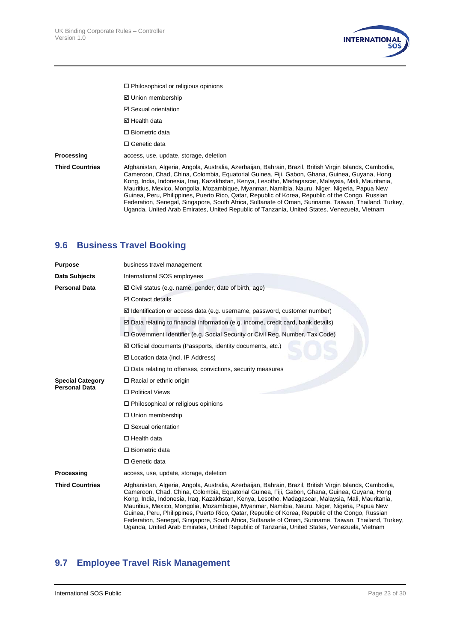

- Philosophical or religious opinions
- Union membership
- Sexual orientation
- **Ø** Health data
- □ Biometric data
- □ Genetic data

**Processing access**, use, update, storage, deletion

**Third Countries** Afghanistan, Algeria, Angola, Australia, Azerbaijan, Bahrain, Brazil, British Virgin Islands, Cambodia, Cameroon, Chad, China, Colombia, Equatorial Guinea, Fiji, Gabon, Ghana, Guinea, Guyana, Hong Kong, India, Indonesia, Iraq, Kazakhstan, Kenya, Lesotho, Madagascar, Malaysia, Mali, Mauritania, Mauritius, Mexico, Mongolia, Mozambique, Myanmar, Namibia, Nauru, Niger, Nigeria, Papua New Guinea, Peru, Philippines, Puerto Rico, Qatar, Republic of Korea, Republic of the Congo, Russian Federation, Senegal, Singapore, South Africa, Sultanate of Oman, Suriname, Taiwan, Thailand, Turkey, Uganda, United Arab Emirates, United Republic of Tanzania, United States, Venezuela, Vietnam

#### **9.6 Business Travel Booking**

| <b>Purpose</b>          | business travel management                                                                                                                                                                                                                                                                                                                                                                                                                                                                                                                                                                                                                                                                                              |
|-------------------------|-------------------------------------------------------------------------------------------------------------------------------------------------------------------------------------------------------------------------------------------------------------------------------------------------------------------------------------------------------------------------------------------------------------------------------------------------------------------------------------------------------------------------------------------------------------------------------------------------------------------------------------------------------------------------------------------------------------------------|
| Data Subjects           | International SOS employees                                                                                                                                                                                                                                                                                                                                                                                                                                                                                                                                                                                                                                                                                             |
| <b>Personal Data</b>    | $\boxtimes$ Civil status (e.g. name, gender, date of birth, age)                                                                                                                                                                                                                                                                                                                                                                                                                                                                                                                                                                                                                                                        |
|                         | ☑ Contact details                                                                                                                                                                                                                                                                                                                                                                                                                                                                                                                                                                                                                                                                                                       |
|                         | $\boxtimes$ Identification or access data (e.g. username, password, customer number)                                                                                                                                                                                                                                                                                                                                                                                                                                                                                                                                                                                                                                    |
|                         | ☑ Data relating to financial information (e.g. income, credit card, bank details)                                                                                                                                                                                                                                                                                                                                                                                                                                                                                                                                                                                                                                       |
|                         | □ Government Identifier (e.g. Social Security or Civil Reg. Number, Tax Code)                                                                                                                                                                                                                                                                                                                                                                                                                                                                                                                                                                                                                                           |
|                         | $\boxtimes$ Official documents (Passports, identity documents, etc.)                                                                                                                                                                                                                                                                                                                                                                                                                                                                                                                                                                                                                                                    |
|                         | $\boxtimes$ Location data (incl. IP Address)                                                                                                                                                                                                                                                                                                                                                                                                                                                                                                                                                                                                                                                                            |
|                         | $\Box$ Data relating to offenses, convictions, security measures                                                                                                                                                                                                                                                                                                                                                                                                                                                                                                                                                                                                                                                        |
| <b>Special Category</b> | $\Box$ Racial or ethnic origin                                                                                                                                                                                                                                                                                                                                                                                                                                                                                                                                                                                                                                                                                          |
| <b>Personal Data</b>    | □ Political Views                                                                                                                                                                                                                                                                                                                                                                                                                                                                                                                                                                                                                                                                                                       |
|                         | $\Box$ Philosophical or religious opinions                                                                                                                                                                                                                                                                                                                                                                                                                                                                                                                                                                                                                                                                              |
|                         | □ Union membership                                                                                                                                                                                                                                                                                                                                                                                                                                                                                                                                                                                                                                                                                                      |
|                         | □ Sexual orientation                                                                                                                                                                                                                                                                                                                                                                                                                                                                                                                                                                                                                                                                                                    |
|                         | $\Box$ Health data                                                                                                                                                                                                                                                                                                                                                                                                                                                                                                                                                                                                                                                                                                      |
|                         | $\square$ Biometric data                                                                                                                                                                                                                                                                                                                                                                                                                                                                                                                                                                                                                                                                                                |
|                         | □ Genetic data                                                                                                                                                                                                                                                                                                                                                                                                                                                                                                                                                                                                                                                                                                          |
| Processing              | access, use, update, storage, deletion                                                                                                                                                                                                                                                                                                                                                                                                                                                                                                                                                                                                                                                                                  |
| <b>Third Countries</b>  | Afghanistan, Algeria, Angola, Australia, Azerbaijan, Bahrain, Brazil, British Virgin Islands, Cambodia,<br>Cameroon, Chad, China, Colombia, Equatorial Guinea, Fiji, Gabon, Ghana, Guinea, Guyana, Hong<br>Kong, India, Indonesia, Iraq, Kazakhstan, Kenya, Lesotho, Madagascar, Malaysia, Mali, Mauritania,<br>Mauritius, Mexico, Mongolia, Mozambique, Myanmar, Namibia, Nauru, Niger, Nigeria, Papua New<br>Guinea, Peru, Philippines, Puerto Rico, Qatar, Republic of Korea, Republic of the Congo, Russian<br>Federation, Senegal, Singapore, South Africa, Sultanate of Oman, Suriname, Taiwan, Thailand, Turkey,<br>Uganda, United Arab Emirates, United Republic of Tanzania, United States, Venezuela, Vietnam |

#### **9.7 Employee Travel Risk Management**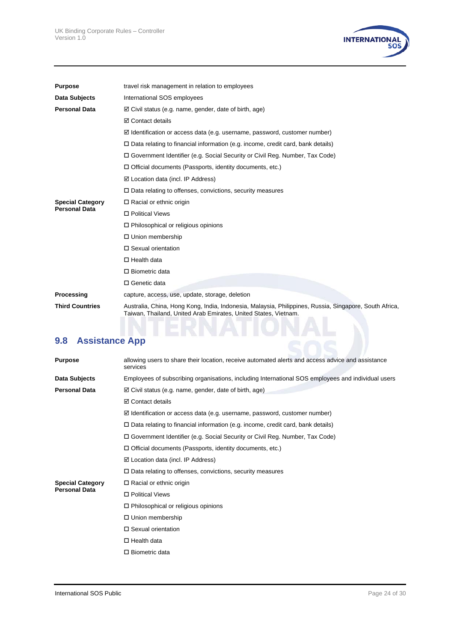

| <b>Purpose</b>          | travel risk management in relation to employees                                                                                                                           |
|-------------------------|---------------------------------------------------------------------------------------------------------------------------------------------------------------------------|
| Data Subjects           | International SOS employees                                                                                                                                               |
| <b>Personal Data</b>    | $\boxtimes$ Civil status (e.g. name, gender, date of birth, age)                                                                                                          |
|                         | <b>⊠</b> Contact details                                                                                                                                                  |
|                         | $\boxtimes$ Identification or access data (e.g. username, password, customer number)                                                                                      |
|                         | $\Box$ Data relating to financial information (e.g. income, credit card, bank details)                                                                                    |
|                         | □ Government Identifier (e.g. Social Security or Civil Reg. Number, Tax Code)                                                                                             |
|                         | $\Box$ Official documents (Passports, identity documents, etc.)                                                                                                           |
|                         | $\boxtimes$ Location data (incl. IP Address)                                                                                                                              |
|                         | $\Box$ Data relating to offenses, convictions, security measures                                                                                                          |
| <b>Special Category</b> | $\Box$ Racial or ethnic origin                                                                                                                                            |
| <b>Personal Data</b>    | □ Political Views                                                                                                                                                         |
|                         | $\Box$ Philosophical or religious opinions                                                                                                                                |
|                         | $\Box$ Union membership                                                                                                                                                   |
|                         | $\Box$ Sexual orientation                                                                                                                                                 |
|                         | $\Box$ Health data                                                                                                                                                        |
|                         | $\Box$ Biometric data                                                                                                                                                     |
|                         | □ Genetic data                                                                                                                                                            |
| Processing              | capture, access, use, update, storage, deletion                                                                                                                           |
| <b>Third Countries</b>  | Australia, China, Hong Kong, India, Indonesia, Malaysia, Philippines, Russia, Singapore, South Africa,<br>Taiwan, Thailand, United Arab Emirates, United States, Vietnam. |
|                         |                                                                                                                                                                           |

# **9.8 Assistance App**

| <b>Purpose</b>          | allowing users to share their location, receive automated alerts and access advice and assistance<br>services |
|-------------------------|---------------------------------------------------------------------------------------------------------------|
| Data Subjects           | Employees of subscribing organisations, including International SOS employees and individual users            |
| <b>Personal Data</b>    | ☑ Civil status (e.g. name, gender, date of birth, age)                                                        |
|                         | <b>☑</b> Contact details                                                                                      |
|                         | $\boxtimes$ Identification or access data (e.g. username, password, customer number)                          |
|                         | $\Box$ Data relating to financial information (e.g. income, credit card, bank details)                        |
|                         | □ Government Identifier (e.g. Social Security or Civil Reg. Number, Tax Code)                                 |
|                         | $\Box$ Official documents (Passports, identity documents, etc.)                                               |
|                         | $\boxtimes$ Location data (incl. IP Address)                                                                  |
|                         | $\square$ Data relating to offenses, convictions, security measures                                           |
| <b>Special Category</b> | $\Box$ Racial or ethnic origin                                                                                |
| <b>Personal Data</b>    | □ Political Views                                                                                             |
|                         | $\Box$ Philosophical or religious opinions                                                                    |
|                         | $\Box$ Union membership                                                                                       |
|                         | $\Box$ Sexual orientation                                                                                     |
|                         | $\Box$ Health data                                                                                            |
|                         | $\Box$ Biometric data                                                                                         |
|                         |                                                                                                               |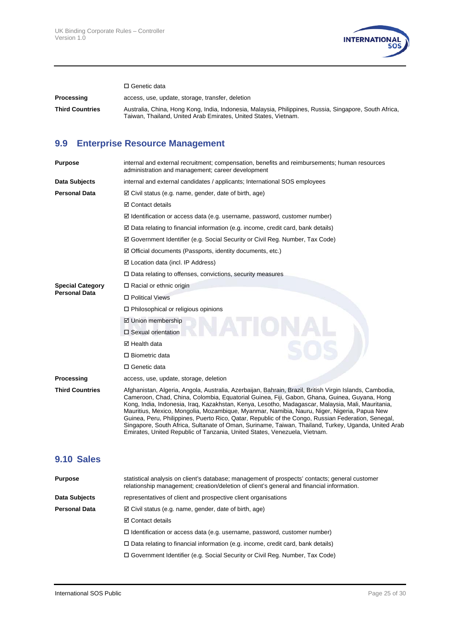

□ Genetic data

**Processing access, use, update, storage, transfer, deletion Third Countries** Australia, China, Hong Kong, India, Indonesia, Malaysia, Philippines, Russia, Singapore, South Africa, Taiwan, Thailand, United Arab Emirates, United States, Vietnam.

#### **9.9 Enterprise Resource Management**

| internal and external recruitment; compensation, benefits and reimbursements; human resources<br>administration and management; career development                                                                                                                                                                                                                                                                                                                                                                                                                                                                                                                                                    |
|-------------------------------------------------------------------------------------------------------------------------------------------------------------------------------------------------------------------------------------------------------------------------------------------------------------------------------------------------------------------------------------------------------------------------------------------------------------------------------------------------------------------------------------------------------------------------------------------------------------------------------------------------------------------------------------------------------|
| internal and external candidates / applicants; International SOS employees                                                                                                                                                                                                                                                                                                                                                                                                                                                                                                                                                                                                                            |
| $\boxtimes$ Civil status (e.g. name, gender, date of birth, age)                                                                                                                                                                                                                                                                                                                                                                                                                                                                                                                                                                                                                                      |
| ☑ Contact details                                                                                                                                                                                                                                                                                                                                                                                                                                                                                                                                                                                                                                                                                     |
| $\boxtimes$ Identification or access data (e.g. username, password, customer number)                                                                                                                                                                                                                                                                                                                                                                                                                                                                                                                                                                                                                  |
| $\boxtimes$ Data relating to financial information (e.g. income, credit card, bank details)                                                                                                                                                                                                                                                                                                                                                                                                                                                                                                                                                                                                           |
| ☑ Government Identifier (e.g. Social Security or Civil Reg. Number, Tax Code)                                                                                                                                                                                                                                                                                                                                                                                                                                                                                                                                                                                                                         |
| $\boxtimes$ Official documents (Passports, identity documents, etc.)                                                                                                                                                                                                                                                                                                                                                                                                                                                                                                                                                                                                                                  |
| $\boxtimes$ Location data (incl. IP Address)                                                                                                                                                                                                                                                                                                                                                                                                                                                                                                                                                                                                                                                          |
| $\Box$ Data relating to offenses, convictions, security measures                                                                                                                                                                                                                                                                                                                                                                                                                                                                                                                                                                                                                                      |
| $\Box$ Racial or ethnic origin                                                                                                                                                                                                                                                                                                                                                                                                                                                                                                                                                                                                                                                                        |
| □ Political Views                                                                                                                                                                                                                                                                                                                                                                                                                                                                                                                                                                                                                                                                                     |
| $\Box$ Philosophical or religious opinions                                                                                                                                                                                                                                                                                                                                                                                                                                                                                                                                                                                                                                                            |
| ☑ Union membership                                                                                                                                                                                                                                                                                                                                                                                                                                                                                                                                                                                                                                                                                    |
| □ Sexual orientation                                                                                                                                                                                                                                                                                                                                                                                                                                                                                                                                                                                                                                                                                  |
| ⊠ Health data                                                                                                                                                                                                                                                                                                                                                                                                                                                                                                                                                                                                                                                                                         |
| $\Box$ Biometric data                                                                                                                                                                                                                                                                                                                                                                                                                                                                                                                                                                                                                                                                                 |
| □ Genetic data                                                                                                                                                                                                                                                                                                                                                                                                                                                                                                                                                                                                                                                                                        |
| access, use, update, storage, deletion                                                                                                                                                                                                                                                                                                                                                                                                                                                                                                                                                                                                                                                                |
| Afghanistan, Algeria, Angola, Australia, Azerbaijan, Bahrain, Brazil, British Virgin Islands, Cambodia,<br>Cameroon, Chad, China, Colombia, Equatorial Guinea, Fiji, Gabon, Ghana, Guinea, Guyana, Hong<br>Kong, India, Indonesia, Irag, Kazakhstan, Kenya, Lesotho, Madagascar, Malaysia, Mali, Mauritania,<br>Mauritius, Mexico, Mongolia, Mozambique, Myanmar, Namibia, Nauru, Niger, Nigeria, Papua New<br>Guinea, Peru, Philippines, Puerto Rico, Qatar, Republic of the Congo, Russian Federation, Senegal,<br>Singapore, South Africa, Sultanate of Oman, Suriname, Taiwan, Thailand, Turkey, Uganda, United Arab<br>Emirates, United Republic of Tanzania, United States, Venezuela, Vietnam. |
|                                                                                                                                                                                                                                                                                                                                                                                                                                                                                                                                                                                                                                                                                                       |

#### **9.10 Sales**

| <b>Purpose</b>       | statistical analysis on client's database; management of prospects' contacts; general customer<br>relationship management; creation/deletion of client's general and financial information. |
|----------------------|---------------------------------------------------------------------------------------------------------------------------------------------------------------------------------------------|
| Data Subjects        | representatives of client and prospective client organisations                                                                                                                              |
| <b>Personal Data</b> | $\boxtimes$ Civil status (e.g. name, gender, date of birth, age)                                                                                                                            |
|                      | <b>☑</b> Contact details                                                                                                                                                                    |
|                      | $\Box$ Identification or access data (e.g. username, password, customer number)                                                                                                             |
|                      | $\Box$ Data relating to financial information (e.g. income, credit card, bank details)                                                                                                      |
|                      | $\Box$ Government Identifier (e.g. Social Security or Civil Reg. Number, Tax Code)                                                                                                          |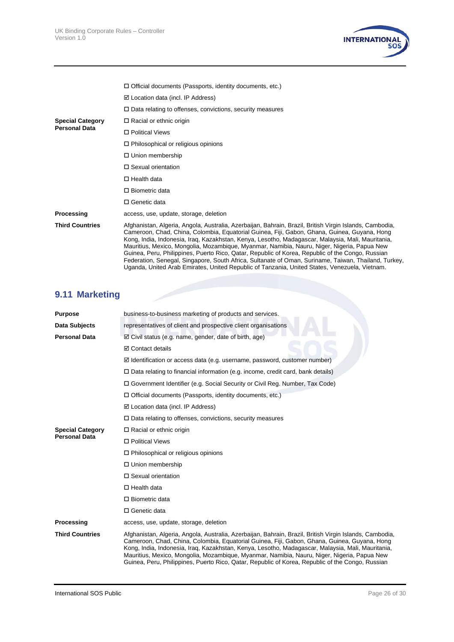

|                                                 | $\Box$ Official documents (Passports, identity documents, etc.)                                                                                                                                                                                                                                                                                                                                                                                                                                                                                                                                                                                                                                                          |
|-------------------------------------------------|--------------------------------------------------------------------------------------------------------------------------------------------------------------------------------------------------------------------------------------------------------------------------------------------------------------------------------------------------------------------------------------------------------------------------------------------------------------------------------------------------------------------------------------------------------------------------------------------------------------------------------------------------------------------------------------------------------------------------|
|                                                 | $\boxtimes$ Location data (incl. IP Address)                                                                                                                                                                                                                                                                                                                                                                                                                                                                                                                                                                                                                                                                             |
|                                                 | $\Box$ Data relating to offenses, convictions, security measures                                                                                                                                                                                                                                                                                                                                                                                                                                                                                                                                                                                                                                                         |
| <b>Special Category</b><br><b>Personal Data</b> | $\Box$ Racial or ethnic origin                                                                                                                                                                                                                                                                                                                                                                                                                                                                                                                                                                                                                                                                                           |
|                                                 | □ Political Views                                                                                                                                                                                                                                                                                                                                                                                                                                                                                                                                                                                                                                                                                                        |
|                                                 | $\Box$ Philosophical or religious opinions                                                                                                                                                                                                                                                                                                                                                                                                                                                                                                                                                                                                                                                                               |
|                                                 | □ Union membership                                                                                                                                                                                                                                                                                                                                                                                                                                                                                                                                                                                                                                                                                                       |
|                                                 | □ Sexual orientation                                                                                                                                                                                                                                                                                                                                                                                                                                                                                                                                                                                                                                                                                                     |
|                                                 | $\Box$ Health data                                                                                                                                                                                                                                                                                                                                                                                                                                                                                                                                                                                                                                                                                                       |
|                                                 | $\Box$ Biometric data                                                                                                                                                                                                                                                                                                                                                                                                                                                                                                                                                                                                                                                                                                    |
|                                                 | $\Box$ Genetic data                                                                                                                                                                                                                                                                                                                                                                                                                                                                                                                                                                                                                                                                                                      |
| Processing                                      | access, use, update, storage, deletion                                                                                                                                                                                                                                                                                                                                                                                                                                                                                                                                                                                                                                                                                   |
| <b>Third Countries</b>                          | Afghanistan, Algeria, Angola, Australia, Azerbaijan, Bahrain, Brazil, British Virgin Islands, Cambodia,<br>Cameroon, Chad, China, Colombia, Equatorial Guinea, Fiji, Gabon, Ghana, Guinea, Guyana, Hong<br>Kong, India, Indonesia, Irag, Kazakhstan, Kenya, Lesotho, Madagascar, Malaysia, Mali, Mauritania,<br>Mauritius, Mexico, Mongolia, Mozambique, Myanmar, Namibia, Nauru, Niger, Nigeria, Papua New<br>Guinea, Peru, Philippines, Puerto Rico, Qatar, Republic of Korea, Republic of the Congo, Russian<br>Federation, Senegal, Singapore, South Africa, Sultanate of Oman, Suriname, Taiwan, Thailand, Turkey,<br>Uganda, United Arab Emirates, United Republic of Tanzania, United States, Venezuela, Vietnam. |

# **9.11 Marketing**

| <b>Purpose</b>          | business-to-business marketing of products and services.                                                                                                                                                                                                                                                                                                                                                                                                                                                        |  |  |
|-------------------------|-----------------------------------------------------------------------------------------------------------------------------------------------------------------------------------------------------------------------------------------------------------------------------------------------------------------------------------------------------------------------------------------------------------------------------------------------------------------------------------------------------------------|--|--|
| Data Subjects           | representatives of client and prospective client organisations                                                                                                                                                                                                                                                                                                                                                                                                                                                  |  |  |
| <b>Personal Data</b>    | $\boxtimes$ Civil status (e.g. name, gender, date of birth, age)                                                                                                                                                                                                                                                                                                                                                                                                                                                |  |  |
|                         | <b>☑</b> Contact details                                                                                                                                                                                                                                                                                                                                                                                                                                                                                        |  |  |
|                         | $\boxtimes$ Identification or access data (e.g. username, password, customer number)                                                                                                                                                                                                                                                                                                                                                                                                                            |  |  |
|                         | $\Box$ Data relating to financial information (e.g. income, credit card, bank details)                                                                                                                                                                                                                                                                                                                                                                                                                          |  |  |
|                         | □ Government Identifier (e.g. Social Security or Civil Reg. Number, Tax Code)                                                                                                                                                                                                                                                                                                                                                                                                                                   |  |  |
|                         | $\Box$ Official documents (Passports, identity documents, etc.)                                                                                                                                                                                                                                                                                                                                                                                                                                                 |  |  |
|                         | $\boxtimes$ Location data (incl. IP Address)                                                                                                                                                                                                                                                                                                                                                                                                                                                                    |  |  |
|                         | $\Box$ Data relating to offenses, convictions, security measures                                                                                                                                                                                                                                                                                                                                                                                                                                                |  |  |
| <b>Special Category</b> | $\Box$ Racial or ethnic origin                                                                                                                                                                                                                                                                                                                                                                                                                                                                                  |  |  |
| <b>Personal Data</b>    | □ Political Views                                                                                                                                                                                                                                                                                                                                                                                                                                                                                               |  |  |
|                         | $\Box$ Philosophical or religious opinions                                                                                                                                                                                                                                                                                                                                                                                                                                                                      |  |  |
|                         | □ Union membership                                                                                                                                                                                                                                                                                                                                                                                                                                                                                              |  |  |
|                         | $\Box$ Sexual orientation                                                                                                                                                                                                                                                                                                                                                                                                                                                                                       |  |  |
|                         | $\Box$ Health data                                                                                                                                                                                                                                                                                                                                                                                                                                                                                              |  |  |
|                         | $\Box$ Biometric data                                                                                                                                                                                                                                                                                                                                                                                                                                                                                           |  |  |
|                         | □ Genetic data                                                                                                                                                                                                                                                                                                                                                                                                                                                                                                  |  |  |
| Processing              | access, use, update, storage, deletion                                                                                                                                                                                                                                                                                                                                                                                                                                                                          |  |  |
| <b>Third Countries</b>  | Afghanistan, Algeria, Angola, Australia, Azerbaijan, Bahrain, Brazil, British Virgin Islands, Cambodia,<br>Cameroon, Chad, China, Colombia, Equatorial Guinea, Fiji, Gabon, Ghana, Guinea, Guyana, Hong<br>Kong, India, Indonesia, Iraq, Kazakhstan, Kenya, Lesotho, Madagascar, Malaysia, Mali, Mauritania,<br>Mauritius, Mexico, Mongolia, Mozambique, Myanmar, Namibia, Nauru, Niger, Nigeria, Papua New<br>Guinea, Peru, Philippines, Puerto Rico, Qatar, Republic of Korea, Republic of the Congo, Russian |  |  |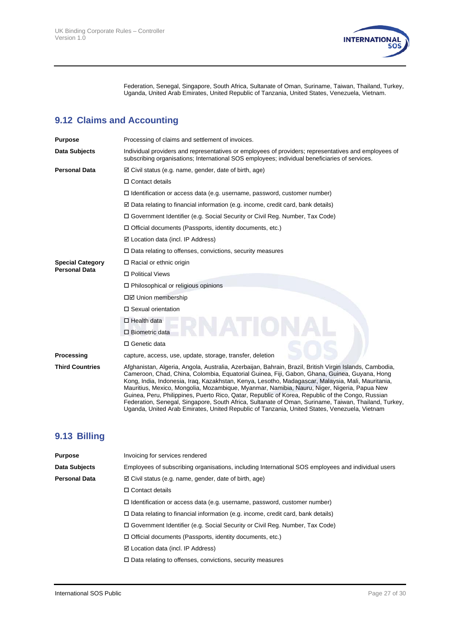

Federation, Senegal, Singapore, South Africa, Sultanate of Oman, Suriname, Taiwan, Thailand, Turkey, Uganda, United Arab Emirates, United Republic of Tanzania, United States, Venezuela, Vietnam.

# **9.12 Claims and Accounting**

| <b>Purpose</b>                                  | Processing of claims and settlement of invoices.                                                                                                                                                                                                                                                                                                                                                                                                                                                                                                                                                                                                                                                                       |  |  |  |
|-------------------------------------------------|------------------------------------------------------------------------------------------------------------------------------------------------------------------------------------------------------------------------------------------------------------------------------------------------------------------------------------------------------------------------------------------------------------------------------------------------------------------------------------------------------------------------------------------------------------------------------------------------------------------------------------------------------------------------------------------------------------------------|--|--|--|
| Data Subjects                                   | Individual providers and representatives or employees of providers; representatives and employees of<br>subscribing organisations; International SOS employees; individual beneficiaries of services.                                                                                                                                                                                                                                                                                                                                                                                                                                                                                                                  |  |  |  |
| <b>Personal Data</b>                            | $\boxtimes$ Civil status (e.g. name, gender, date of birth, age)                                                                                                                                                                                                                                                                                                                                                                                                                                                                                                                                                                                                                                                       |  |  |  |
|                                                 | $\Box$ Contact details                                                                                                                                                                                                                                                                                                                                                                                                                                                                                                                                                                                                                                                                                                 |  |  |  |
|                                                 | $\Box$ Identification or access data (e.g. username, password, customer number)                                                                                                                                                                                                                                                                                                                                                                                                                                                                                                                                                                                                                                        |  |  |  |
|                                                 | $\boxtimes$ Data relating to financial information (e.g. income, credit card, bank details)                                                                                                                                                                                                                                                                                                                                                                                                                                                                                                                                                                                                                            |  |  |  |
|                                                 | □ Government Identifier (e.g. Social Security or Civil Reg. Number, Tax Code)                                                                                                                                                                                                                                                                                                                                                                                                                                                                                                                                                                                                                                          |  |  |  |
|                                                 | $\Box$ Official documents (Passports, identity documents, etc.)                                                                                                                                                                                                                                                                                                                                                                                                                                                                                                                                                                                                                                                        |  |  |  |
|                                                 | $\boxtimes$ Location data (incl. IP Address)                                                                                                                                                                                                                                                                                                                                                                                                                                                                                                                                                                                                                                                                           |  |  |  |
|                                                 | $\Box$ Data relating to offenses, convictions, security measures                                                                                                                                                                                                                                                                                                                                                                                                                                                                                                                                                                                                                                                       |  |  |  |
| <b>Special Category</b><br><b>Personal Data</b> | $\Box$ Racial or ethnic origin                                                                                                                                                                                                                                                                                                                                                                                                                                                                                                                                                                                                                                                                                         |  |  |  |
|                                                 | □ Political Views                                                                                                                                                                                                                                                                                                                                                                                                                                                                                                                                                                                                                                                                                                      |  |  |  |
|                                                 | $\Box$ Philosophical or religious opinions                                                                                                                                                                                                                                                                                                                                                                                                                                                                                                                                                                                                                                                                             |  |  |  |
|                                                 | □Ø Union membership                                                                                                                                                                                                                                                                                                                                                                                                                                                                                                                                                                                                                                                                                                    |  |  |  |
|                                                 | $\Box$ Sexual orientation                                                                                                                                                                                                                                                                                                                                                                                                                                                                                                                                                                                                                                                                                              |  |  |  |
|                                                 | $\Box$ Health data                                                                                                                                                                                                                                                                                                                                                                                                                                                                                                                                                                                                                                                                                                     |  |  |  |
|                                                 | $\Box$ Biometric data                                                                                                                                                                                                                                                                                                                                                                                                                                                                                                                                                                                                                                                                                                  |  |  |  |
|                                                 | □ Genetic data                                                                                                                                                                                                                                                                                                                                                                                                                                                                                                                                                                                                                                                                                                         |  |  |  |
| Processing                                      | capture, access, use, update, storage, transfer, deletion                                                                                                                                                                                                                                                                                                                                                                                                                                                                                                                                                                                                                                                              |  |  |  |
| <b>Third Countries</b>                          | Afghanistan, Algeria, Angola, Australia, Azerbaijan, Bahrain, Brazil, British Virgin Islands, Cambodia,<br>Cameroon, Chad, China, Colombia, Equatorial Guinea, Fiji, Gabon, Ghana, Guinea, Guyana, Hong<br>Kong, India, Indonesia, Irag, Kazakhstan, Kenya, Lesotho, Madagascar, Malaysia, Mali, Mauritania,<br>Mauritius, Mexico, Mongolia, Mozambique, Myanmar, Namibia, Nauru, Niger, Nigeria, Papua New<br>Guinea, Peru, Philippines, Puerto Rico, Qatar, Republic of Korea, Republic of the Congo, Russian<br>Federation, Senegal, Singapore, South Africa, Sultanate of Oman, Suriname, Taiwan, Thailand, Turkey<br>Uganda, United Arab Emirates, United Republic of Tanzania, United States, Venezuela, Vietnam |  |  |  |

## **9.13 Billing**

| <b>Purpose</b>       | Invoicing for services rendered                                                                    |
|----------------------|----------------------------------------------------------------------------------------------------|
| Data Subjects        | Employees of subscribing organisations, including International SOS employees and individual users |
| <b>Personal Data</b> | $\boxtimes$ Civil status (e.g. name, gender, date of birth, age)                                   |
|                      | $\Box$ Contact details                                                                             |
|                      | $\Box$ Identification or access data (e.g. username, password, customer number)                    |
|                      | $\Box$ Data relating to financial information (e.g. income, credit card, bank details)             |
|                      | □ Government Identifier (e.g. Social Security or Civil Reg. Number, Tax Code)                      |
|                      | $\Box$ Official documents (Passports, identity documents, etc.)                                    |
|                      | $\boxtimes$ Location data (incl. IP Address)                                                       |
|                      | $\Box$ Data relating to offenses, convictions, security measures                                   |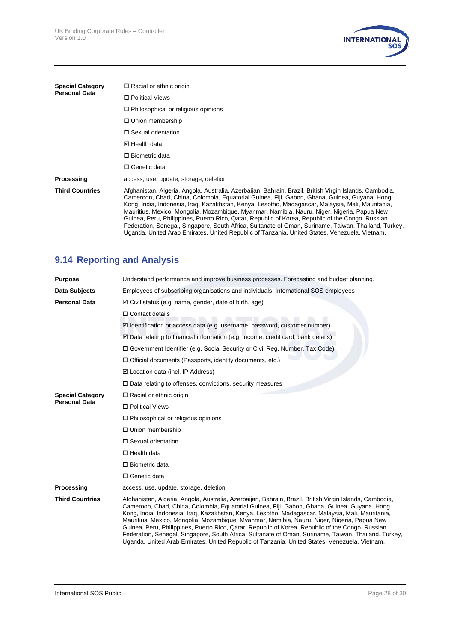

| <b>Special Category</b><br><b>Personal Data</b> | $\Box$ Racial or ethnic origin                                                                                                                                                                                                                                                                                                                                                                                                                                                                                                                                                                                                                                                                                           |
|-------------------------------------------------|--------------------------------------------------------------------------------------------------------------------------------------------------------------------------------------------------------------------------------------------------------------------------------------------------------------------------------------------------------------------------------------------------------------------------------------------------------------------------------------------------------------------------------------------------------------------------------------------------------------------------------------------------------------------------------------------------------------------------|
|                                                 | □ Political Views                                                                                                                                                                                                                                                                                                                                                                                                                                                                                                                                                                                                                                                                                                        |
|                                                 | $\Box$ Philosophical or religious opinions                                                                                                                                                                                                                                                                                                                                                                                                                                                                                                                                                                                                                                                                               |
|                                                 | $\Box$ Union membership                                                                                                                                                                                                                                                                                                                                                                                                                                                                                                                                                                                                                                                                                                  |
|                                                 | $\Box$ Sexual orientation                                                                                                                                                                                                                                                                                                                                                                                                                                                                                                                                                                                                                                                                                                |
|                                                 | ⊠ Health data                                                                                                                                                                                                                                                                                                                                                                                                                                                                                                                                                                                                                                                                                                            |
|                                                 | $\Box$ Biometric data                                                                                                                                                                                                                                                                                                                                                                                                                                                                                                                                                                                                                                                                                                    |
|                                                 | □ Genetic data                                                                                                                                                                                                                                                                                                                                                                                                                                                                                                                                                                                                                                                                                                           |
| Processing                                      | access, use, update, storage, deletion                                                                                                                                                                                                                                                                                                                                                                                                                                                                                                                                                                                                                                                                                   |
| <b>Third Countries</b>                          | Afghanistan, Algeria, Angola, Australia, Azerbaijan, Bahrain, Brazil, British Virgin Islands, Cambodia,<br>Cameroon, Chad, China, Colombia, Equatorial Guinea, Fiji, Gabon, Ghana, Guinea, Guyana, Hong<br>Kong, India, Indonesia, Iraq, Kazakhstan, Kenya, Lesotho, Madagascar, Malaysia, Mali, Mauritania,<br>Mauritius, Mexico, Mongolia, Mozambique, Myanmar, Namibia, Nauru, Niger, Nigeria, Papua New<br>Guinea, Peru, Philippines, Puerto Rico, Qatar, Republic of Korea, Republic of the Congo, Russian<br>Federation, Senegal, Singapore, South Africa, Sultanate of Oman, Suriname, Taiwan, Thailand, Turkey,<br>Uganda, United Arab Emirates, United Republic of Tanzania, United States, Venezuela, Vietnam. |

# **9.14 Reporting and Analysis**

| <b>Purpose</b>          | Understand performance and improve business processes. Forecasting and budget planning.                                                                                                                                                                                                                                                                                                                                                                                                                                                                                                                                                                                                                                  |  |  |
|-------------------------|--------------------------------------------------------------------------------------------------------------------------------------------------------------------------------------------------------------------------------------------------------------------------------------------------------------------------------------------------------------------------------------------------------------------------------------------------------------------------------------------------------------------------------------------------------------------------------------------------------------------------------------------------------------------------------------------------------------------------|--|--|
| Data Subjects           | Employees of subscribing organisations and individuals; International SOS employees                                                                                                                                                                                                                                                                                                                                                                                                                                                                                                                                                                                                                                      |  |  |
| <b>Personal Data</b>    | $\boxtimes$ Civil status (e.g. name, gender, date of birth, age)                                                                                                                                                                                                                                                                                                                                                                                                                                                                                                                                                                                                                                                         |  |  |
|                         | $\Box$ Contact details                                                                                                                                                                                                                                                                                                                                                                                                                                                                                                                                                                                                                                                                                                   |  |  |
|                         | ☑ Identification or access data (e.g. username, password, customer number)                                                                                                                                                                                                                                                                                                                                                                                                                                                                                                                                                                                                                                               |  |  |
|                         | $\boxtimes$ Data relating to financial information (e.g. income, credit card, bank details)                                                                                                                                                                                                                                                                                                                                                                                                                                                                                                                                                                                                                              |  |  |
|                         | □ Government Identifier (e.g. Social Security or Civil Reg. Number, Tax Code)                                                                                                                                                                                                                                                                                                                                                                                                                                                                                                                                                                                                                                            |  |  |
|                         | $\Box$ Official documents (Passports, identity documents, etc.)                                                                                                                                                                                                                                                                                                                                                                                                                                                                                                                                                                                                                                                          |  |  |
|                         | $\boxtimes$ Location data (incl. IP Address)                                                                                                                                                                                                                                                                                                                                                                                                                                                                                                                                                                                                                                                                             |  |  |
|                         | $\Box$ Data relating to offenses, convictions, security measures                                                                                                                                                                                                                                                                                                                                                                                                                                                                                                                                                                                                                                                         |  |  |
| <b>Special Category</b> | □ Racial or ethnic origin                                                                                                                                                                                                                                                                                                                                                                                                                                                                                                                                                                                                                                                                                                |  |  |
| <b>Personal Data</b>    | □ Political Views                                                                                                                                                                                                                                                                                                                                                                                                                                                                                                                                                                                                                                                                                                        |  |  |
|                         | $\Box$ Philosophical or religious opinions                                                                                                                                                                                                                                                                                                                                                                                                                                                                                                                                                                                                                                                                               |  |  |
|                         | □ Union membership                                                                                                                                                                                                                                                                                                                                                                                                                                                                                                                                                                                                                                                                                                       |  |  |
|                         | □ Sexual orientation                                                                                                                                                                                                                                                                                                                                                                                                                                                                                                                                                                                                                                                                                                     |  |  |
|                         | $\Box$ Health data                                                                                                                                                                                                                                                                                                                                                                                                                                                                                                                                                                                                                                                                                                       |  |  |
|                         | $\Box$ Biometric data                                                                                                                                                                                                                                                                                                                                                                                                                                                                                                                                                                                                                                                                                                    |  |  |
|                         | □ Genetic data                                                                                                                                                                                                                                                                                                                                                                                                                                                                                                                                                                                                                                                                                                           |  |  |
| Processing              | access, use, update, storage, deletion                                                                                                                                                                                                                                                                                                                                                                                                                                                                                                                                                                                                                                                                                   |  |  |
| <b>Third Countries</b>  | Afghanistan, Algeria, Angola, Australia, Azerbaijan, Bahrain, Brazil, British Virgin Islands, Cambodia,<br>Cameroon, Chad, China, Colombia, Equatorial Guinea, Fiji, Gabon, Ghana, Guinea, Guyana, Hong<br>Kong, India, Indonesia, Irag, Kazakhstan, Kenya, Lesotho, Madagascar, Malaysia, Mali, Mauritania,<br>Mauritius, Mexico, Mongolia, Mozambique, Myanmar, Namibia, Nauru, Niger, Nigeria, Papua New<br>Guinea, Peru, Philippines, Puerto Rico, Qatar, Republic of Korea, Republic of the Congo, Russian<br>Federation, Senegal, Singapore, South Africa, Sultanate of Oman, Suriname, Taiwan, Thailand, Turkey,<br>Uganda, United Arab Emirates, United Republic of Tanzania, United States, Venezuela, Vietnam. |  |  |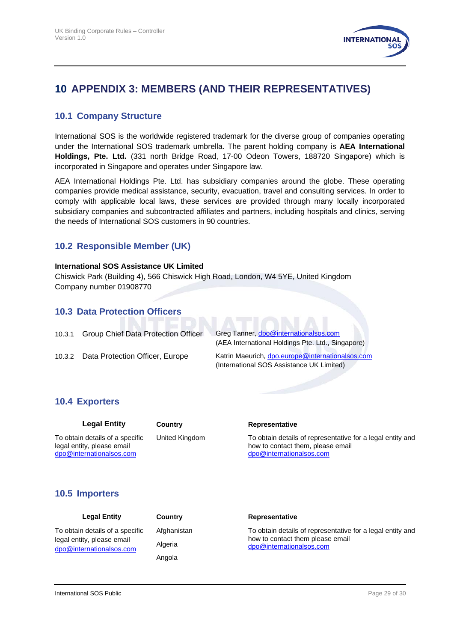

# <span id="page-28-0"></span>**10 APPENDIX 3: MEMBERS (AND THEIR REPRESENTATIVES)**

#### **10.1 Company Structure**

International SOS is the worldwide registered trademark for the diverse group of companies operating under the International SOS trademark umbrella. The parent holding company is **AEA International Holdings, Pte. Ltd.** (331 north Bridge Road, 17-00 Odeon Towers, 188720 Singapore) which is incorporated in Singapore and operates under Singapore law.

AEA International Holdings Pte. Ltd. has subsidiary companies around the globe. These operating companies provide medical assistance, security, evacuation, travel and consulting services. In order to comply with applicable local laws, these services are provided through many locally incorporated subsidiary companies and subcontracted affiliates and partners, including hospitals and clinics, serving the needs of International SOS customers in 90 countries.

#### **10.2 Responsible Member (UK)**

#### **International SOS Assistance UK Limited**

Chiswick Park (Building 4), 566 Chiswick High Road, London, W4 5YE, United Kingdom Company number 01908770

#### **10.3 Data Protection Officers**

10.3.1 Group Chief Data Protection Officer Greg Tanner, [dpo@internationalsos.com](mailto:dpo@internationalsos.com)

(AEA International Holdings Pte. Ltd., Singapore)

<span id="page-28-1"></span>10.3.2 Data Protection Officer, Europe Katrin Maeurich, [dpo.europe@internationalsos.com](mailto:dpo.europe@internationalsos.com) (International SOS Assistance UK Limited)

#### **10.4 Exporters**

| Legal Entit |  |
|-------------|--|
|-------------|--|

[dpo@internationalsos.com](mailto:dpo@internationalsos.com)

To obtain details of a specific legal entity, please email

#### **Legal Entity Country Representative**

United Kingdom To obtain details of representative for a legal entity and how to contact them, please email [dpo@internationalsos.com](mailto:dpo@internationalsos.com)

#### **10.5 Importers**

Angola

#### Legal Entity **Country Representative**

Afghanistan To obtain details of representative for a legal entity and how to contact them please email Algeria [dpo@internationalsos.com](mailto:dpo@internationalsos.com)